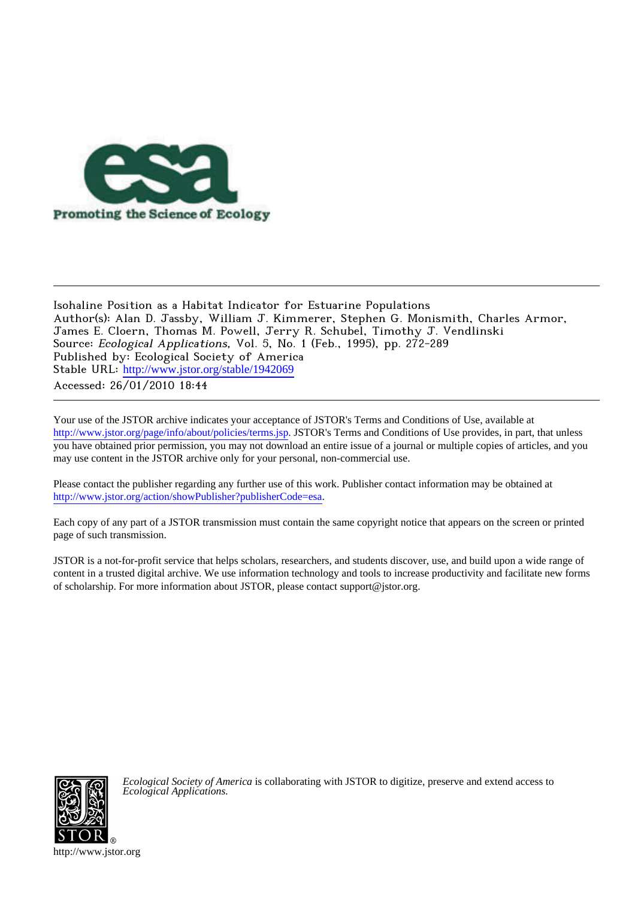

## Isohaline Position as a Habitat Indicator for Estuarine Populations Author(s): Alan D. Jassby, William J. Kimmerer, Stephen G. Monismith, Charles Armor, James E. Cloern, Thomas M. Powell, Jerry R. Schubel, Timothy J. Vendlinski Source: Ecological Applications, Vol. 5, No. 1 (Feb., 1995), pp. 272-289 Published by: Ecological Society of America Stable URL: [http://www.jstor.org/stable/1942069](http://www.jstor.org/stable/1942069?origin=JSTOR-pdf) Accessed: 26/01/2010 18:44

Your use of the JSTOR archive indicates your acceptance of JSTOR's Terms and Conditions of Use, available at <http://www.jstor.org/page/info/about/policies/terms.jsp>. JSTOR's Terms and Conditions of Use provides, in part, that unless you have obtained prior permission, you may not download an entire issue of a journal or multiple copies of articles, and you may use content in the JSTOR archive only for your personal, non-commercial use.

Please contact the publisher regarding any further use of this work. Publisher contact information may be obtained at [http://www.jstor.org/action/showPublisher?publisherCode=esa.](http://www.jstor.org/action/showPublisher?publisherCode=esa)

Each copy of any part of a JSTOR transmission must contain the same copyright notice that appears on the screen or printed page of such transmission.

JSTOR is a not-for-profit service that helps scholars, researchers, and students discover, use, and build upon a wide range of content in a trusted digital archive. We use information technology and tools to increase productivity and facilitate new forms of scholarship. For more information about JSTOR, please contact support@jstor.org.



*Ecological Society of America* is collaborating with JSTOR to digitize, preserve and extend access to *Ecological Applications.*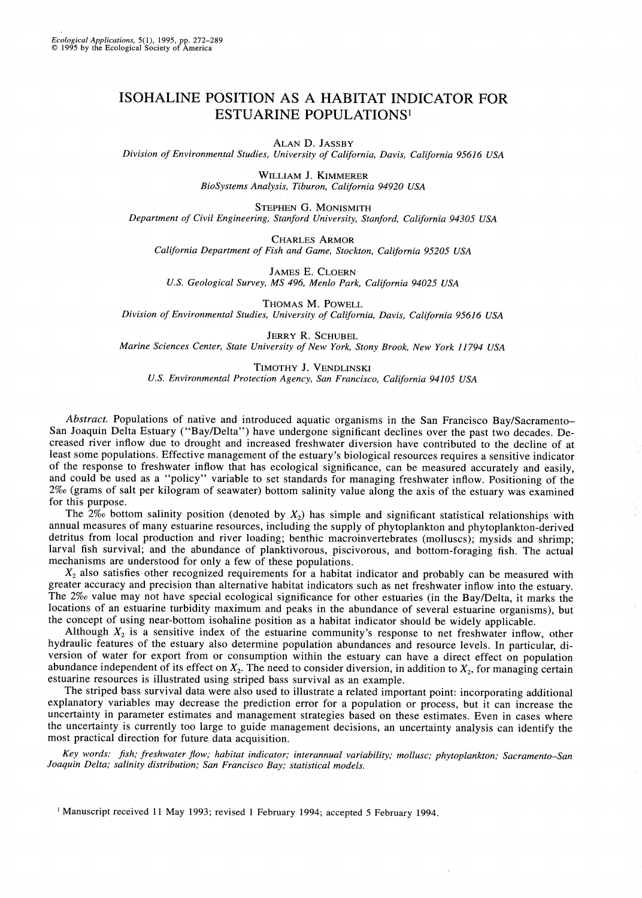# ISOHALINE POSITION AS A HABITAT INDICATOR FOR **ESTUARINE POPULATIONS<sup>1</sup>**

ALAN D. JASSBY

Division of Environmental Studies, University of California, Davis, California 95616 USA

WILLIAM J. KIMMERER BioSystems Analysis, Tiburon, California 94920 USA

STEPHEN G. MONISMITH Department of Civil Engineering, Stanford University, Stanford, California 94305 USA

**CHARLES ARMOR** 

California Department of Fish and Game, Stockton, California 95205 USA

**JAMES E. CLOERN** U.S. Geological Survey, MS 496, Menlo Park, California 94025 USA

THOMAS M. POWELL Division of Environmental Studies, University of California, Davis, California 95616 USA

**JERRY R. SCHUBEL** Marine Sciences Center, State University of New York, Stony Brook, New York 11794 USA

TIMOTHY J. VENDLINSKI U.S. Environmental Protection Agency, San Francisco, California 94105 USA

Abstract. Populations of native and introduced aquatic organisms in the San Francisco Bay/Sacramento-San Joaquin Delta Estuary ("Bay/Delta") have undergone significant declines over the past two decades. Decreased river inflow due to drought and increased freshwater diversion have contributed to the decline of at least some populations. Effective management of the estuary's biological resources requires a sensitive indicator of the response to freshwater inflow that has ecological significance, can be measured accurately and easily, and could be used as a "policy" variable to set standards for managing freshwater inflow. Positioning of the 2‰ (grams of salt per kilogram of seawater) bottom salinity value along the axis of the estuary was examined for this purpose.

The  $2\%$  bottom salinity position (denoted by  $X_2$ ) has simple and significant statistical relationships with annual measures of many estuarine resources, including the supply of phytoplankton and phytoplankton-derived detritus from local production and river loading; benthic macroinvertebrates (molluscs); mysids and shrimp; larval fish survival; and the abundance of planktivorous, piscivorous, and bottom-foraging fish. The actual mechanisms are understood for only a few of these populations.

 $X_2$  also satisfies other recognized requirements for a habitat indicator and probably can be measured with greater accuracy and precision than alternative habitat indicators such as net freshwater inflow into the estuary. The 2% value may not have special ecological significance for other estuaries (in the Bay/Delta, it marks the locations of an estuarine turbidity maximum and peaks in the abundance of several estuarine organisms), but the concept of using near-bottom isohaline position as a habitat indicator should be widely applicable.

Although  $X_2$  is a sensitive index of the estuarine community's response to net freshwater inflow, other hydraulic features of the estuary also determine population abundances and resource levels. In particular, diversion of water for export from or consumption within the estuary can have a direct effect on population abundance independent of its effect on  $X_2$ . The need to consider diversion, in addition to  $X_2$ , for managing certain estuarine resources is illustrated using striped bass survival as an example.

The striped bass survival data were also used to illustrate a related important point: incorporating additional explanatory variables may decrease the prediction error for a population or process, but it can increase the uncertainty in parameter estimates and management strategies based on these estimates. Even in cases where the uncertainty is currently too large to guide management decisions, an uncertainty analysis can identify the most practical direction for future data acquisition.

Key words: fish; freshwater flow; habitat indicator; interannual variability; mollusc; phytoplankton; Sacramento-San Joaquin Delta; salinity distribution; San Francisco Bay; statistical models.

<sup>1</sup> Manuscript received 11 May 1993; revised 1 February 1994; accepted 5 February 1994.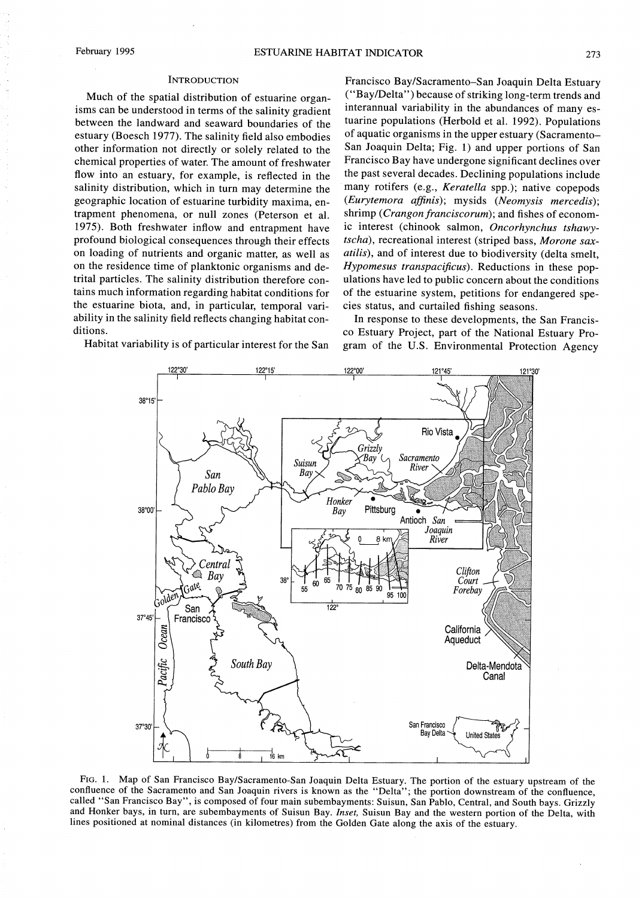#### **INTRODUCTION**

Much of the spatial distribution of estuarine organisms can be understood in terms of the salinity gradient between the landward and seaward boundaries of the estuary (Boesch 1977). The salinity field also embodies other information not directly or solely related to the chemical properties of water. The amount of freshwater flow into an estuary, for example, is reflected in the salinity distribution, which in turn may determine the geographic location of estuarine turbidity maxima, entrapment phenomena, or null zones (Peterson et al. 1975). Both freshwater inflow and entrapment have profound biological consequences through their effects on loading of nutrients and organic matter, as well as on the residence time of planktonic organisms and detrital particles. The salinity distribution therefore contains much information regarding habitat conditions for the estuarine biota, and, in particular, temporal variability in the salinity field reflects changing habitat conditions.

Habitat variability is of particular interest for the San

Francisco Bay/Sacramento-San Joaquin Delta Estuary ("Bay/Delta") because of striking long-term trends and interannual variability in the abundances of many estuarine populations (Herbold et al. 1992). Populations of aquatic organisms in the upper estuary (Sacramento-San Joaquin Delta; Fig. 1) and upper portions of San Francisco Bay have undergone significant declines over the past several decades. Declining populations include many rotifers (e.g., Keratella spp.); native copepods (Eurytemora affinis); mysids (Neomysis mercedis); shrimp (Crangon franciscorum); and fishes of economic interest (chinook salmon, Oncorhynchus tshawytscha), recreational interest (striped bass, Morone sax*atilis*), and of interest due to biodiversity (delta smelt. Hypomesus transpacificus). Reductions in these populations have led to public concern about the conditions of the estuarine system, petitions for endangered species status, and curtailed fishing seasons.

In response to these developments, the San Francisco Estuary Project, part of the National Estuary Program of the U.S. Environmental Protection Agency



FIG. 1. Map of San Francisco Bay/Sacramento-San Joaquin Delta Estuary. The portion of the estuary upstream of the confluence of the Sacramento and San Joaquin rivers is known as the "Delta"; the portion downstream of the confluence, called "San Francisco Bay", is composed of four main subembayments: Suisun, San Pablo, Central, and South bays. Grizzly and Honker bays, in turn, are subembayments of Suisun Bay. Inset, Suisun Bay and the western portion of the Delta, with lines positioned at nominal distances (in kilometres) from the Golden Gate along the axis of the estuary.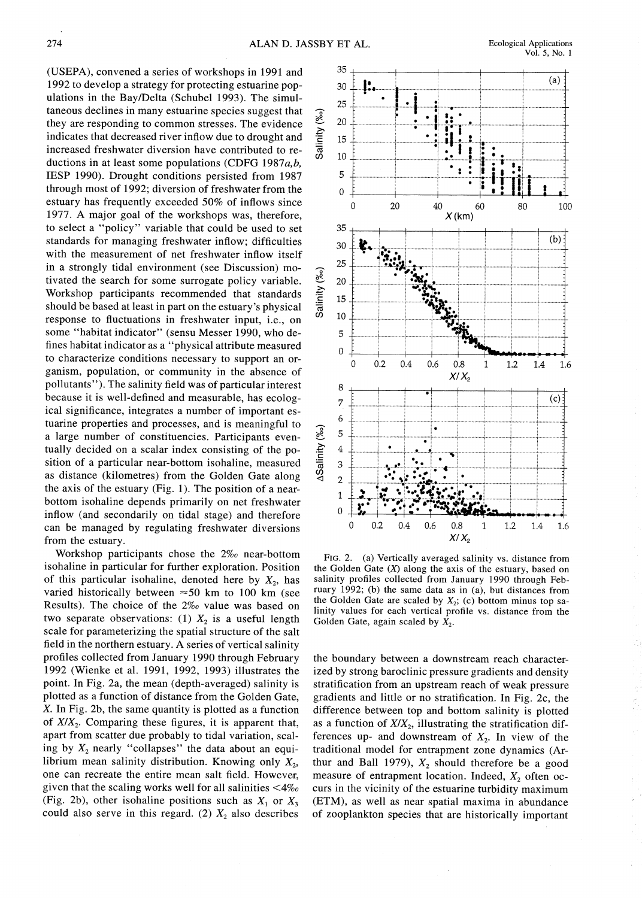(USEPA), convened a series of workshops in 1991 and 1992 to develop a strategy for protecting estuarine populations in the Bay/Delta (Schubel 1993). The simultaneous declines in many estuarine species suggest that they are responding to common stresses. The evidence indicates that decreased river inflow due to drought and increased freshwater diversion have contributed to reductions in at least some populations (CDFG 1987 $a,b$ , IESP 1990). Drought conditions persisted from 1987 through most of 1992; diversion of freshwater from the estuary has frequently exceeded 50% of inflows since 1977. A major goal of the workshops was, therefore, to select a "policy" variable that could be used to set standards for managing freshwater inflow; difficulties with the measurement of net freshwater inflow itself in a strongly tidal environment (see Discussion) motivated the search for some surrogate policy variable. Workshop participants recommended that standards should be based at least in part on the estuary's physical response to fluctuations in freshwater input, i.e., on some "habitat indicator" (sensu Messer 1990, who defines habitat indicator as a "physical attribute measured to characterize conditions necessary to support an organism, population, or community in the absence of pollutants"). The salinity field was of particular interest because it is well-defined and measurable, has ecological significance, integrates a number of important estuarine properties and processes, and is meaningful to a large number of constituencies. Participants eventually decided on a scalar index consisting of the position of a particular near-bottom isohaline, measured as distance (kilometres) from the Golden Gate along the axis of the estuary (Fig. 1). The position of a nearbottom isohaline depends primarily on net freshwater inflow (and secondarily on tidal stage) and therefore can be managed by regulating freshwater diversions from the estuary.

Workshop participants chose the 2% near-bottom isohaline in particular for further exploration. Position of this particular isohaline, denoted here by  $X_2$ , has varied historically between  $\approx$  50 km to 100 km (see Results). The choice of the 2% value was based on two separate observations: (1)  $X_2$  is a useful length scale for parameterizing the spatial structure of the salt field in the northern estuary. A series of vertical salinity profiles collected from January 1990 through February 1992 (Wienke et al. 1991, 1992, 1993) illustrates the point. In Fig. 2a, the mean (depth-averaged) salinity is plotted as a function of distance from the Golden Gate, X. In Fig. 2b, the same quantity is plotted as a function of  $X/X_2$ . Comparing these figures, it is apparent that, apart from scatter due probably to tidal variation, scaling by  $X_2$  nearly "collapses" the data about an equilibrium mean salinity distribution. Knowing only  $X_2$ , one can recreate the entire mean salt field. However, given that the scaling works well for all salinities  $\langle 4\% \rangle$ (Fig. 2b), other isohaline positions such as  $X_1$  or  $X_3$ could also serve in this regard. (2)  $X_2$  also describes

FIG. 2. (a) Vertically averaged salinity vs. distance from the Golden Gate  $(X)$  along the axis of the estuary, based on salinity profiles collected from January 1990 through February 1992; (b) the same data as in (a), but distances from the Golden Gate are scaled by  $X_2$ , (c) bottom minus top salinity values for each vertical profile vs. distance from the Golden Gate, again scaled by  $X_2$ .

the boundary between a downstream reach characterized by strong baroclinic pressure gradients and density stratification from an upstream reach of weak pressure gradients and little or no stratification. In Fig. 2c, the difference between top and bottom salinity is plotted as a function of  $X/X_2$ , illustrating the stratification differences up- and downstream of  $X_2$ . In view of the traditional model for entrapment zone dynamics (Arthur and Ball 1979),  $X_2$  should therefore be a good measure of entrapment location. Indeed,  $X_2$  often occurs in the vicinity of the estuarine turbidity maximum (ETM), as well as near spatial maxima in abundance of zooplankton species that are historically important



**Ecological Applications**  $Vol. 5, No. 1$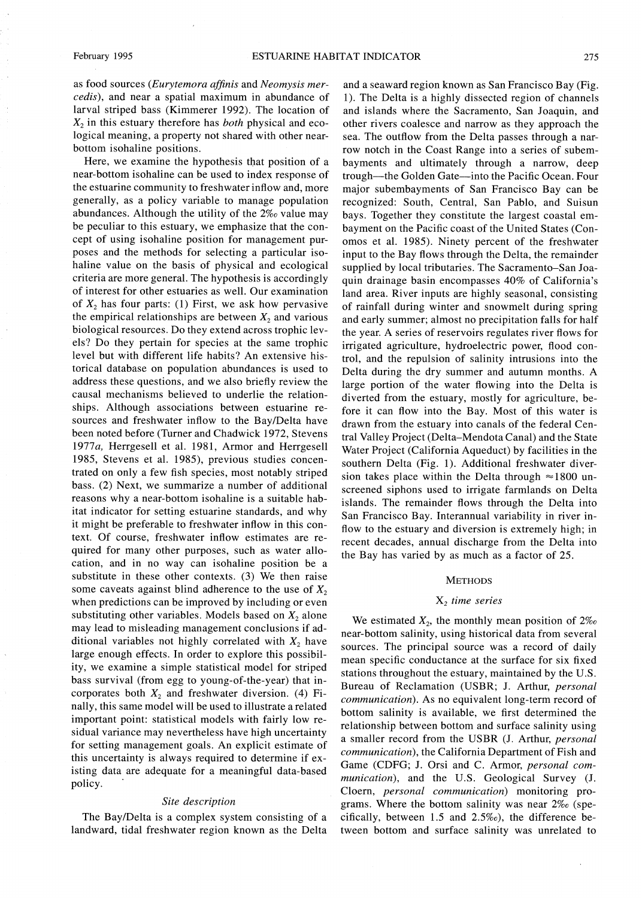as food sources (Eurytemora affinis and Neomysis mercedis), and near a spatial maximum in abundance of larval striped bass (Kimmerer 1992). The location of  $X_2$  in this estuary therefore has *both* physical and ecological meaning, a property not shared with other nearbottom isohaline positions.

Here, we examine the hypothesis that position of a near-bottom isohaline can be used to index response of the estuarine community to freshwater inflow and, more generally, as a policy variable to manage population abundances. Although the utility of the 2% value may be peculiar to this estuary, we emphasize that the concept of using isohaline position for management purposes and the methods for selecting a particular isohaline value on the basis of physical and ecological criteria are more general. The hypothesis is accordingly of interest for other estuaries as well. Our examination of  $X_2$  has four parts: (1) First, we ask how pervasive the empirical relationships are between  $X_2$  and various biological resources. Do they extend across trophic levels? Do they pertain for species at the same trophic level but with different life habits? An extensive historical database on population abundances is used to address these questions, and we also briefly review the causal mechanisms believed to underlie the relationships. Although associations between estuarine resources and freshwater inflow to the Bay/Delta have been noted before (Turner and Chadwick 1972, Stevens 1977a, Herrgesell et al. 1981, Armor and Herrgesell 1985, Stevens et al. 1985), previous studies concentrated on only a few fish species, most notably striped bass. (2) Next, we summarize a number of additional reasons why a near-bottom isohaline is a suitable habitat indicator for setting estuarine standards, and why it might be preferable to freshwater inflow in this context. Of course, freshwater inflow estimates are required for many other purposes, such as water allocation, and in no way can isohaline position be a substitute in these other contexts. (3) We then raise some caveats against blind adherence to the use of  $X_2$ when predictions can be improved by including or even substituting other variables. Models based on  $X_2$  alone may lead to misleading management conclusions if additional variables not highly correlated with  $X_2$  have large enough effects. In order to explore this possibility, we examine a simple statistical model for striped bass survival (from egg to young-of-the-year) that incorporates both  $X_2$  and freshwater diversion. (4) Finally, this same model will be used to illustrate a related important point: statistical models with fairly low residual variance may nevertheless have high uncertainty for setting management goals. An explicit estimate of this uncertainty is always required to determine if existing data are adequate for a meaningful data-based policy.

## Site description

The Bay/Delta is a complex system consisting of a landward, tidal freshwater region known as the Delta

and a seaward region known as San Francisco Bay (Fig. 1). The Delta is a highly dissected region of channels and islands where the Sacramento, San Joaquin, and other rivers coalesce and narrow as they approach the sea. The outflow from the Delta passes through a narrow notch in the Coast Range into a series of subembayments and ultimately through a narrow, deep trough—the Golden Gate—into the Pacific Ocean. Four major subembayments of San Francisco Bay can be recognized: South, Central, San Pablo, and Suisun bays. Together they constitute the largest coastal embayment on the Pacific coast of the United States (Conomos et al. 1985). Ninety percent of the freshwater input to the Bay flows through the Delta, the remainder supplied by local tributaries. The Sacramento-San Joaquin drainage basin encompasses 40% of California's land area. River inputs are highly seasonal, consisting of rainfall during winter and snowmelt during spring and early summer; almost no precipitation falls for half the year. A series of reservoirs regulates river flows for irrigated agriculture, hydroelectric power, flood control, and the repulsion of salinity intrusions into the Delta during the dry summer and autumn months. A large portion of the water flowing into the Delta is diverted from the estuary, mostly for agriculture, before it can flow into the Bay. Most of this water is drawn from the estuary into canals of the federal Central Valley Project (Delta-Mendota Canal) and the State Water Project (California Aqueduct) by facilities in the southern Delta (Fig. 1). Additional freshwater diversion takes place within the Delta through  $\approx$ 1800 unscreened siphons used to irrigate farmlands on Delta islands. The remainder flows through the Delta into San Francisco Bay. Interannual variability in river inflow to the estuary and diversion is extremely high; in recent decades, annual discharge from the Delta into the Bay has varied by as much as a factor of 25.

#### **METHODS**

## $X_2$  time series

We estimated  $X_2$ , the monthly mean position of  $2\%$ near-bottom salinity, using historical data from several sources. The principal source was a record of daily mean specific conductance at the surface for six fixed stations throughout the estuary, maintained by the U.S. Bureau of Reclamation (USBR; J. Arthur, personal *communication*). As no equivalent long-term record of bottom salinity is available, we first determined the relationship between bottom and surface salinity using a smaller record from the USBR (J. Arthur, personal communication), the California Department of Fish and Game (CDFG; J. Orsi and C. Armor, personal communication), and the U.S. Geological Survey (J. Cloern, personal communication) monitoring programs. Where the bottom salinity was near 2% (specifically, between 1.5 and 2.5%o), the difference between bottom and surface salinity was unrelated to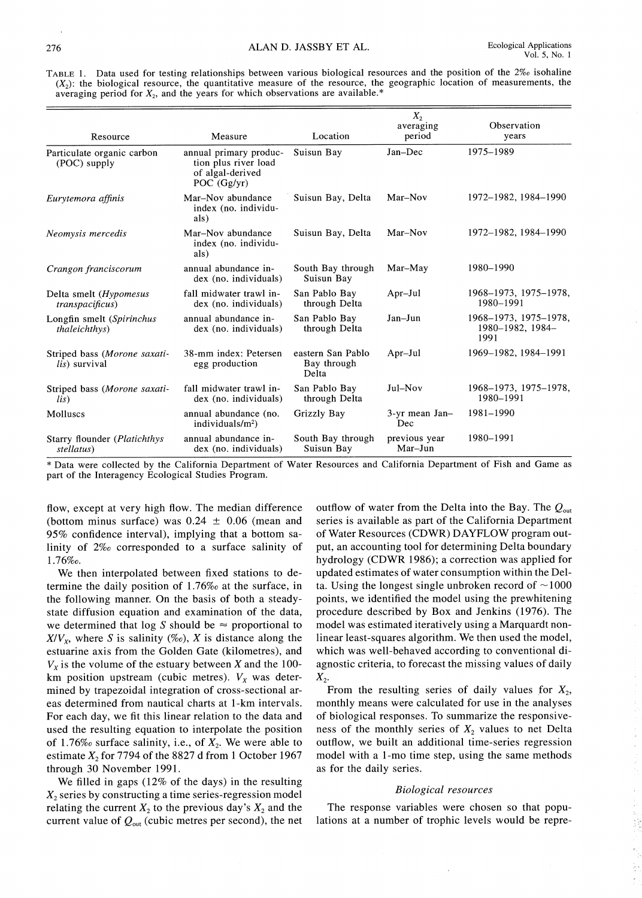TABLE 1. Data used for testing relationships between various biological resources and the position of the 2% isohaline  $(X_2)$ : the biological resource, the quantitative measure of the resource, the geographic location of measurements, the averaging period for  $X_2$ , and the years for which observations are available.\*

| Resource                                              | Measure                                                                             | Location                                  | $X_{2}$<br>averaging<br>period | Observation<br>years                              |
|-------------------------------------------------------|-------------------------------------------------------------------------------------|-------------------------------------------|--------------------------------|---------------------------------------------------|
| Particulate organic carbon<br>(POC) supply            | annual primary produc-<br>tion plus river load<br>of algal-derived<br>POC $(Gg/yr)$ | Suisun Bay                                | Jan-Dec                        | 1975-1989                                         |
| Eurytemora affinis                                    | Mar-Nov abundance<br>index (no. individu-<br>als)                                   | Suisun Bay, Delta                         | Mar-Nov                        | 1972-1982, 1984-1990                              |
| Neomysis mercedis                                     | Mar-Nov abundance<br>index (no. individu-<br>als)                                   | Suisun Bay, Delta                         | Mar-Nov                        | 1972-1982, 1984-1990                              |
| Crangon franciscorum                                  | annual abundance in-<br>dex (no. individuals)                                       | South Bay through<br>Suisun Bay           | Mar-May                        | 1980-1990                                         |
| Delta smelt (Hypomesus<br><i>transpacificus</i> )     | fall midwater trawl in-<br>dex (no. individuals)                                    | San Pablo Bay<br>through Delta            | Apr-Jul                        | 1968-1973, 1975-1978,<br>1980-1991                |
| Longfin smelt (Spirinchus<br><i>thaleichthys</i> )    | annual abundance in-<br>dex (no. individuals)                                       | San Pablo Bay<br>through Delta            | Jan-Jun                        | 1968-1973, 1975-1978,<br>1980-1982, 1984-<br>1991 |
| Striped bass (Morone saxati-<br><i>lis</i> ) survival | 38-mm index: Petersen<br>egg production                                             | eastern San Pablo<br>Bay through<br>Delta | Apr-Jul                        | 1969-1982, 1984-1991                              |
| Striped bass (Morone saxati-<br>lis)                  | fall midwater trawl in-<br>dex (no. individuals)                                    | San Pablo Bay<br>through Delta            | Jul-Nov                        | 1968-1973, 1975-1978,<br>1980-1991                |
| Molluscs                                              | annual abundance (no.<br>individuals/m <sup>2</sup> )                               | Grizzly Bay                               | 3-yr mean Jan-<br>Dec          | 1981-1990                                         |
| Starry flounder (Platichthys<br>stellatus)            | annual abundance in-<br>dex (no. individuals)                                       | South Bay through<br>Suisun Bay           | previous year<br>Mar-Jun       | 1980-1991                                         |

\* Data were collected by the California Department of Water Resources and California Department of Fish and Game as part of the Interagency Ecological Studies Program.

flow, except at very high flow. The median difference (bottom minus surface) was  $0.24 \pm 0.06$  (mean and 95% confidence interval), implying that a bottom salinity of 2% corresponded to a surface salinity of 1.76‰.

We then interpolated between fixed stations to determine the daily position of  $1.76\%$  at the surface, in the following manner. On the basis of both a steadystate diffusion equation and examination of the data, we determined that log S should be  $\approx$  proportional to  $X/V_X$ , where S is salinity (%o), X is distance along the estuarine axis from the Golden Gate (kilometres), and  $V_x$  is the volume of the estuary between X and the 100km position upstream (cubic metres).  $V_x$  was determined by trapezoidal integration of cross-sectional areas determined from nautical charts at 1-km intervals. For each day, we fit this linear relation to the data and used the resulting equation to interpolate the position of 1.76‰ surface salinity, i.e., of  $X_2$ . We were able to estimate  $X_2$  for 7794 of the 8827 d from 1 October 1967 through 30 November 1991.

We filled in gaps  $(12\% \text{ of the days})$  in the resulting  $X<sub>2</sub>$  series by constructing a time series-regression model relating the current  $X_2$  to the previous day's  $X_2$  and the current value of  $Q_{\text{out}}$  (cubic metres per second), the net

outflow of water from the Delta into the Bay. The  $Q_{\text{out}}$ series is available as part of the California Department of Water Resources (CDWR) DAYFLOW program output, an accounting tool for determining Delta boundary hydrology (CDWR 1986); a correction was applied for updated estimates of water consumption within the Delta. Using the longest single unbroken record of  $\sim$ 1000 points, we identified the model using the prewhitening procedure described by Box and Jenkins (1976). The model was estimated iteratively using a Marquardt nonlinear least-squares algorithm. We then used the model, which was well-behaved according to conventional diagnostic criteria, to forecast the missing values of daily  $X_2$ .

From the resulting series of daily values for  $X_2$ , monthly means were calculated for use in the analyses of biological responses. To summarize the responsiveness of the monthly series of  $X_2$  values to net Delta outflow, we built an additional time-series regression model with a 1-mo time step, using the same methods as for the daily series.

#### **Biological resources**

The response variables were chosen so that populations at a number of trophic levels would be repre-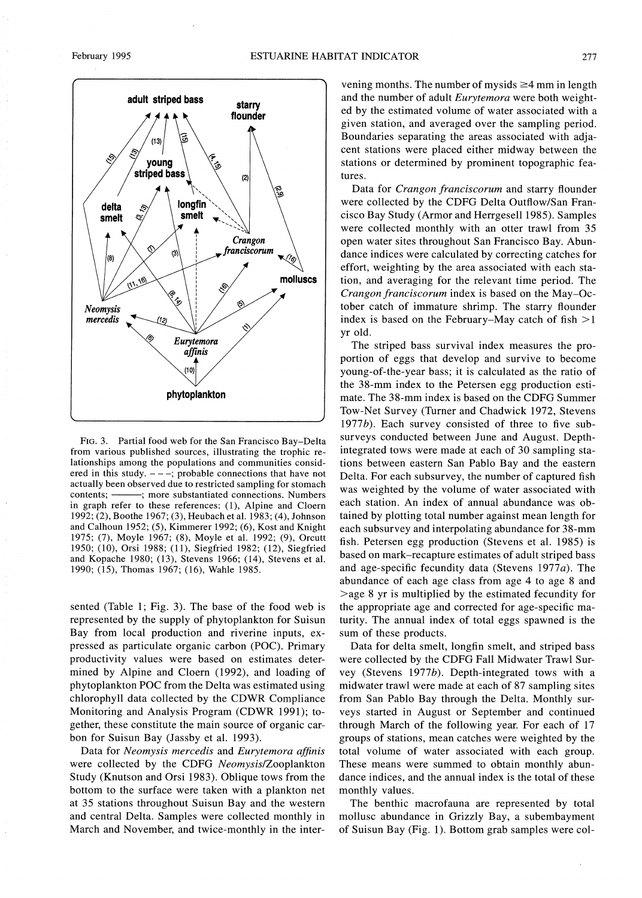

FIG. 3. Partial food web for the San Francisco Bay-Delta from various published sources, illustrating the trophic relationships among the populations and communities considered in this study.  $---$ ; probable connections that have not actually been observed due to restricted sampling for stomach contents: --; more substantiated connections. Numbers in graph refer to these references: (1), Alpine and Cloern 1992; (2), Boothe 1967; (3), Heubach et al. 1983; (4), Johnson and Calhoun 1952; (5), Kimmerer 1992; (6), Kost and Knight 1975; (7), Moyle 1967; (8), Moyle et al. 1992; (9), Orcutt 1950; (10), Orsi 1988; (11), Siegfried 1982; (12), Siegfried and Kopache 1980; (13), Stevens 1966; (14), Stevens et al. 1990; (15), Thomas 1967; (16), Wahle 1985.

sented (Table 1; Fig. 3). The base of the food web is represented by the supply of phytoplankton for Suisun Bay from local production and riverine inputs, expressed as particulate organic carbon (POC). Primary productivity values were based on estimates determined by Alpine and Cloern (1992), and loading of phytoplankton POC from the Delta was estimated using chlorophyll data collected by the CDWR Compliance Monitoring and Analysis Program (CDWR 1991); together, these constitute the main source of organic carbon for Suisun Bay (Jassby et al. 1993).

Data for Neomysis mercedis and Eurytemora affinis were collected by the CDFG Neomysis/Zooplankton Study (Knutson and Orsi 1983). Oblique tows from the bottom to the surface were taken with a plankton net at 35 stations throughout Suisun Bay and the western and central Delta. Samples were collected monthly in March and November, and twice-monthly in the inter-

vening months. The number of mysids  $\geq$ 4 mm in length and the number of adult *Eurytemora* were both weighted by the estimated volume of water associated with a given station, and averaged over the sampling period. Boundaries separating the areas associated with adjacent stations were placed either midway between the stations or determined by prominent topographic features.

Data for Crangon franciscorum and starry flounder were collected by the CDFG Delta Outflow/San Francisco Bay Study (Armor and Herrgesell 1985). Samples were collected monthly with an otter trawl from 35 open water sites throughout San Francisco Bay. Abundance indices were calculated by correcting catches for effort, weighting by the area associated with each station, and averaging for the relevant time period. The Crangon franciscorum index is based on the May-October catch of immature shrimp. The starry flounder index is based on the February–May catch of fish  $>1$ yr old.

The striped bass survival index measures the proportion of eggs that develop and survive to become young-of-the-year bass; it is calculated as the ratio of the 38-mm index to the Petersen egg production estimate. The 38-mm index is based on the CDFG Summer Tow-Net Survey (Turner and Chadwick 1972, Stevens 1977b). Each survey consisted of three to five subsurveys conducted between June and August. Depthintegrated tows were made at each of 30 sampling stations between eastern San Pablo Bay and the eastern Delta. For each subsurvey, the number of captured fish was weighted by the volume of water associated with each station. An index of annual abundance was obtained by plotting total number against mean length for each subsurvey and interpolating abundance for 38-mm fish. Petersen egg production (Stevens et al. 1985) is based on mark-recapture estimates of adult striped bass and age-specific fecundity data (Stevens  $1977a$ ). The abundance of each age class from age 4 to age 8 and  $>$ age 8 yr is multiplied by the estimated fecundity for the appropriate age and corrected for age-specific maturity. The annual index of total eggs spawned is the sum of these products.

Data for delta smelt, longfin smelt, and striped bass were collected by the CDFG Fall Midwater Trawl Survey (Stevens 1977b). Depth-integrated tows with a midwater trawl were made at each of 87 sampling sites from San Pablo Bay through the Delta. Monthly surveys started in August or September and continued through March of the following year. For each of 17 groups of stations, mean catches were weighted by the total volume of water associated with each group. These means were summed to obtain monthly abundance indices, and the annual index is the total of these monthly values.

The benthic macrofauna are represented by total mollusc abundance in Grizzly Bay, a subembayment of Suisun Bay (Fig. 1). Bottom grab samples were col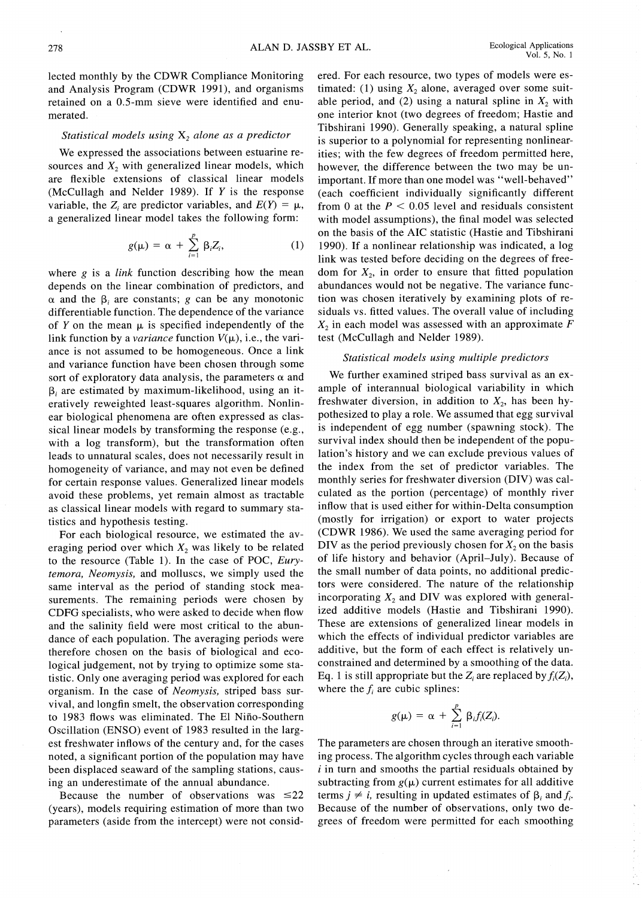lected monthly by the CDWR Compliance Monitoring and Analysis Program (CDWR 1991), and organisms retained on a 0.5-mm sieve were identified and enumerated.

## Statistical models using  $X_2$  alone as a predictor

We expressed the associations between estuarine resources and  $X<sub>2</sub>$  with generalized linear models, which are flexible extensions of classical linear models (McCullagh and Nelder 1989). If  $Y$  is the response variable, the Z are predictor variables, and  $E(Y) = \mu$ , a generalized linear model takes the following form:

$$
g(\mu) = \alpha + \sum_{i=1}^p \beta_i Z_i, \qquad (1)
$$

where  $g$  is a *link* function describing how the mean depends on the linear combination of predictors, and  $\alpha$  and the  $\beta$ , are constants; g can be any monotonic differentiable function. The dependence of the variance of Y on the mean  $\mu$  is specified independently of the link function by a *variance* function  $V(\mu)$ , i.e., the variance is not assumed to be homogeneous. Once a link and variance function have been chosen through some sort of exploratory data analysis, the parameters  $\alpha$  and  $\beta$ , are estimated by maximum-likelihood, using an iteratively reweighted least-squares algorithm. Nonlinear biological phenomena are often expressed as classical linear models by transforming the response (e.g., with a log transform), but the transformation often leads to unnatural scales, does not necessarily result in homogeneity of variance, and may not even be defined for certain response values. Generalized linear models avoid these problems, yet remain almost as tractable as classical linear models with regard to summary statistics and hypothesis testing.

For each biological resource, we estimated the averaging period over which  $X_2$  was likely to be related to the resource (Table 1). In the case of POC, Eurytemora, Neomysis, and molluscs, we simply used the same interval as the period of standing stock measurements. The remaining periods were chosen by CDFG specialists, who were asked to decide when flow and the salinity field were most critical to the abundance of each population. The averaging periods were therefore chosen on the basis of biological and ecological judgement, not by trying to optimize some statistic. Only one averaging period was explored for each organism. In the case of *Neomysis*, striped bass survival, and longfin smelt, the observation corresponding to 1983 flows was eliminated. The El Niño-Southern Oscillation (ENSO) event of 1983 resulted in the largest freshwater inflows of the century and, for the cases noted, a significant portion of the population may have been displaced seaward of the sampling stations, causing an underestimate of the annual abundance.

Because the number of observations was  $\leq 22$ (years), models requiring estimation of more than two parameters (aside from the intercept) were not considered. For each resource, two types of models were estimated: (1) using  $X_2$  alone, averaged over some suitable period, and (2) using a natural spline in  $X_2$  with one interior knot (two degrees of freedom; Hastie and Tibshirani 1990). Generally speaking, a natural spline is superior to a polynomial for representing nonlinearities; with the few degrees of freedom permitted here, however, the difference between the two may be unimportant. If more than one model was "well-behaved" (each coefficient individually significantly different from 0 at the  $P < 0.05$  level and residuals consistent with model assumptions), the final model was selected on the basis of the AIC statistic (Hastie and Tibshirani 1990). If a nonlinear relationship was indicated, a log link was tested before deciding on the degrees of freedom for  $X_2$ , in order to ensure that fitted population abundances would not be negative. The variance function was chosen iteratively by examining plots of residuals vs. fitted values. The overall value of including  $X_2$  in each model was assessed with an approximate F test (McCullagh and Nelder 1989).

## Statistical models using multiple predictors

We further examined striped bass survival as an example of interannual biological variability in which freshwater diversion, in addition to  $X_2$ , has been hypothesized to play a role. We assumed that egg survival is independent of egg number (spawning stock). The survival index should then be independent of the population's history and we can exclude previous values of the index from the set of predictor variables. The monthly series for freshwater diversion (DIV) was calculated as the portion (percentage) of monthly river inflow that is used either for within-Delta consumption (mostly for irrigation) or export to water projects (CDWR 1986). We used the same averaging period for DIV as the period previously chosen for  $X_2$  on the basis of life history and behavior (April–July). Because of the small number of data points, no additional predictors were considered. The nature of the relationship incorporating  $X_2$  and DIV was explored with generalized additive models (Hastie and Tibshirani 1990). These are extensions of generalized linear models in which the effects of individual predictor variables are additive, but the form of each effect is relatively unconstrained and determined by a smoothing of the data. Eq. 1 is still appropriate but the  $Z_i$  are replaced by  $f_i(Z_i)$ , where the  $f_i$  are cubic splines:

$$
g(\mu) = \alpha + \sum_{i=1}^p \beta_i f_i(Z_i).
$$

The parameters are chosen through an iterative smoothing process. The algorithm cycles through each variable  $i$  in turn and smooths the partial residuals obtained by subtracting from  $g(\mu)$  current estimates for all additive terms  $j \neq i$ , resulting in updated estimates of  $\beta_i$  and  $f_i$ . Because of the number of observations, only two degrees of freedom were permitted for each smoothing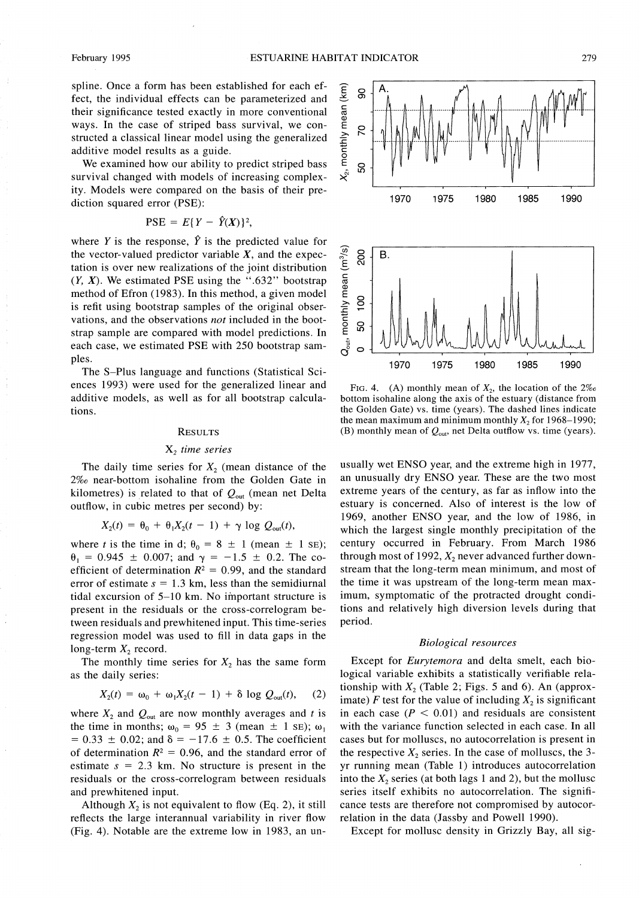spline. Once a form has been established for each effect, the individual effects can be parameterized and their significance tested exactly in more conventional ways. In the case of striped bass survival, we constructed a classical linear model using the generalized additive model results as a guide.

We examined how our ability to predict striped bass survival changed with models of increasing complexity. Models were compared on the basis of their prediction squared error (PSE):

$$
PSE = E\{Y - \hat{Y}(X)\}^2
$$

where Y is the response,  $\hat{Y}$  is the predicted value for the vector-valued predictor variable  $X$ , and the expectation is over new realizations of the joint distribution  $(Y, X)$ . We estimated PSE using the ".632" bootstrap method of Efron (1983). In this method, a given model is refit using bootstrap samples of the original observations, and the observations not included in the bootstrap sample are compared with model predictions. In each case, we estimated PSE with 250 bootstrap samples.

The S-Plus language and functions (Statistical Sciences 1993) were used for the generalized linear and additive models, as well as for all bootstrap calculations.

## **RESULTS**

## $X_2$  time series

The daily time series for  $X_2$  (mean distance of the 2‰ near-bottom isohaline from the Golden Gate in kilometres) is related to that of  $Q_{\text{out}}$  (mean net Delta outflow, in cubic metres per second) by:

$$
X_2(t) = \theta_0 + \theta_1 X_2(t-1) + \gamma \log Q_{\text{out}}(t),
$$

where t is the time in d;  $\theta_0 = 8 \pm 1$  (mean  $\pm$  1 sE);  $\theta_1 = 0.945 \pm 0.007$ ; and  $\gamma = -1.5 \pm 0.2$ . The coefficient of determination  $R^2 = 0.99$ , and the standard error of estimate  $s = 1.3$  km, less than the semidiurnal tidal excursion of 5-10 km. No important structure is present in the residuals or the cross-correlogram between residuals and prewhitened input. This time-series regression model was used to fill in data gaps in the long-term  $X_2$  record.

The monthly time series for  $X_2$  has the same form as the daily series:

$$
X_2(t) = \omega_0 + \omega_1 X_2(t - 1) + \delta \log Q_{\text{out}}(t), \quad (2)
$$

where  $X_2$  and  $Q_{\text{out}}$  are now monthly averages and t is the time in months;  $\omega_0 = 95 \pm 3$  (mean  $\pm 1$  SE);  $\omega_1$  $= 0.33 \pm 0.02$ ; and  $\delta = -17.6 \pm 0.5$ . The coefficient of determination  $R^2 = 0.96$ , and the standard error of estimate  $s = 2.3$  km. No structure is present in the residuals or the cross-correlogram between residuals and prewhitened input.

Although  $X_2$  is not equivalent to flow (Eq. 2), it still reflects the large interannual variability in river flow (Fig. 4). Notable are the extreme low in 1983, an un-



FIG. 4. (A) monthly mean of  $X_2$ , the location of the  $2\%$ bottom isohaline along the axis of the estuary (distance from the Golden Gate) vs. time (years). The dashed lines indicate the mean maximum and minimum monthly  $X_2$  for 1968–1990; (B) monthly mean of  $Q_{\text{out}}$ , net Delta outflow vs. time (years).

usually wet ENSO year, and the extreme high in 1977, an unusually dry ENSO year. These are the two most extreme years of the century, as far as inflow into the estuary is concerned. Also of interest is the low of 1969, another ENSO year, and the low of 1986, in which the largest single monthly precipitation of the century occurred in February. From March 1986 through most of 1992,  $X_2$  never advanced further downstream that the long-term mean minimum, and most of the time it was upstream of the long-term mean maximum, symptomatic of the protracted drought conditions and relatively high diversion levels during that period.

#### **Biological resources**

Except for Eurytemora and delta smelt, each biological variable exhibits a statistically verifiable relationship with  $X_2$  (Table 2; Figs. 5 and 6). An (approximate) F test for the value of including  $X_2$  is significant in each case ( $P < 0.01$ ) and residuals are consistent with the variance function selected in each case. In all cases but for molluscs, no autocorrelation is present in the respective  $X_2$  series. In the case of molluscs, the 3yr running mean (Table 1) introduces autocorrelation into the  $X_2$  series (at both lags 1 and 2), but the mollusc series itself exhibits no autocorrelation. The significance tests are therefore not compromised by autocorrelation in the data (Jassby and Powell 1990).

Except for mollusc density in Grizzly Bay, all sig-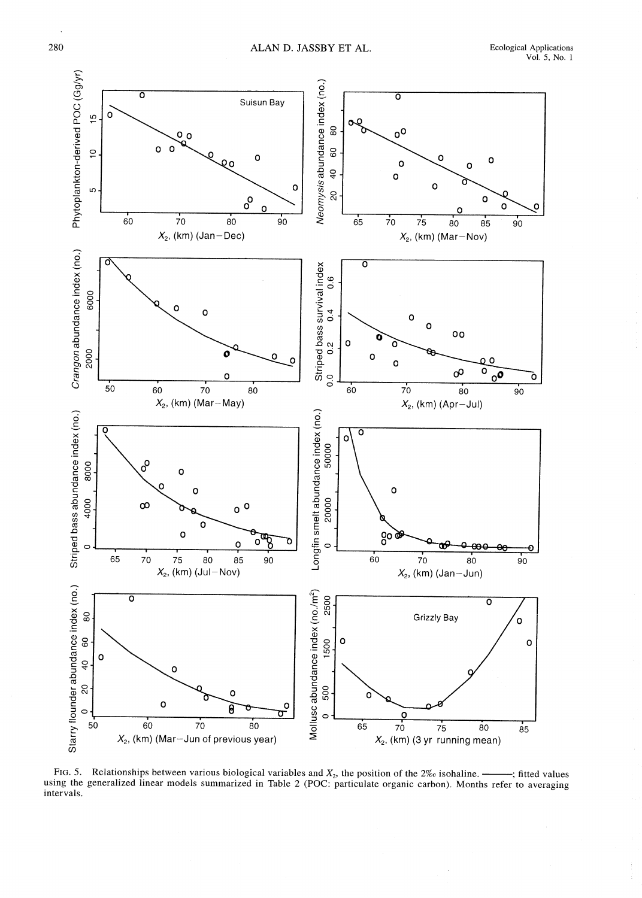

FIG. 5. Relationships between various biological variables and  $X_2$ , the position of the 2% isohaline. -; fitted values using the generalized linear models summarized in Table 2 (POC: particulate organic carbon). Months refer to averaging intervals.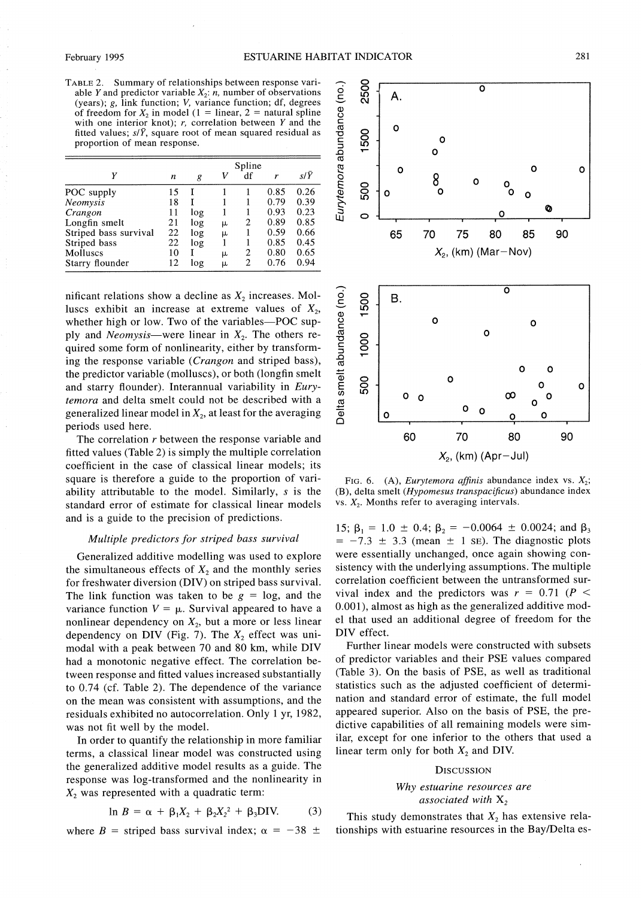TABLE 2. Summary of relationships between response variable Y and predictor variable  $X_2$ :  $\hat{n}$ , number of observations (years); g, link function; V, variance function; df, degrees of freedom for  $X_2$  in model (1 = linear, 2 = natural spline with one interior knot);  $r$ , correlation between  $Y$  and the fitted values;  $s/\bar{Y}$ , square root of mean squared residual as proportion of mean response.

|                       |    |     |   | Spline |      |      |
|-----------------------|----|-----|---|--------|------|------|
| γ                     | n  | g   | V | df     | r    | s/Y  |
| POC supply            | 15 |     |   |        | 0.85 | 0.26 |
| Neomysis              | 18 |     |   |        | 0.79 | 0.39 |
| Crangon               | 11 | log |   |        | 0.93 | 0.23 |
| Longfin smelt         | 21 | log | μ | 2      | 0.89 | 0.85 |
| Striped bass survival | 22 | log | m |        | 0.59 | 0.66 |
| Striped bass          | 22 | log |   |        | 0.85 | 0.45 |
| Molluscs              | 10 |     | μ | 2      | 0.80 | 0.65 |
| Starry flounder       | 12 | log | m | 2      | 0.76 | 0.94 |

nificant relations show a decline as  $X_2$  increases. Molluscs exhibit an increase at extreme values of  $X_2$ , whether high or low. Two of the variables-POC supply and *Neomysis*—were linear in  $X_2$ . The others required some form of nonlinearity, either by transforming the response variable (Crangon and striped bass), the predictor variable (molluscs), or both (longfin smelt and starry flounder). Interannual variability in Eurytemora and delta smelt could not be described with a generalized linear model in  $X_2$ , at least for the averaging periods used here.

The correlation  $r$  between the response variable and fitted values (Table 2) is simply the multiple correlation coefficient in the case of classical linear models; its square is therefore a guide to the proportion of variability attributable to the model. Similarly,  $s$  is the standard error of estimate for classical linear models and is a guide to the precision of predictions.

## Multiple predictors for striped bass survival

Generalized additive modelling was used to explore the simultaneous effects of  $X_2$  and the monthly series for freshwater diversion (DIV) on striped bass survival. The link function was taken to be  $g = \log$ , and the variance function  $V = \mu$ . Survival appeared to have a nonlinear dependency on  $X_2$ , but a more or less linear dependency on DIV (Fig. 7). The  $X_2$  effect was unimodal with a peak between 70 and 80 km, while DIV had a monotonic negative effect. The correlation between response and fitted values increased substantially to 0.74 (cf. Table 2). The dependence of the variance on the mean was consistent with assumptions, and the residuals exhibited no autocorrelation. Only 1 yr, 1982, was not fit well by the model.

In order to quantify the relationship in more familiar terms, a classical linear model was constructed using the generalized additive model results as a guide. The response was log-transformed and the nonlinearity in  $X<sub>2</sub>$  was represented with a quadratic term:

$$
\ln B = \alpha + \beta_1 X_2 + \beta_2 X_2^2 + \beta_3 DIV. \tag{3}
$$

where B = striped bass survival index;  $\alpha = -38 \pm$ 



FIG. 6. (A), *Eurytemora affinis* abundance index vs.  $X_2$ ;  $(B)$ , delta smelt (Hypomesus transpacificus) abundance index vs.  $X_2$ . Months refer to averaging intervals.

15;  $\beta_1 = 1.0 \pm 0.4$ ;  $\beta_2 = -0.0064 \pm 0.0024$ ; and  $\beta_3$  $=$  -7.3  $\pm$  3.3 (mean  $\pm$  1 sE). The diagnostic plots were essentially unchanged, once again showing consistency with the underlying assumptions. The multiple correlation coefficient between the untransformed survival index and the predictors was  $r = 0.71$  (P < 0.001), almost as high as the generalized additive model that used an additional degree of freedom for the DIV effect.

Further linear models were constructed with subsets of predictor variables and their PSE values compared (Table 3). On the basis of PSE, as well as traditional statistics such as the adjusted coefficient of determination and standard error of estimate, the full model appeared superior. Also on the basis of PSE, the predictive capabilities of all remaining models were similar, except for one inferior to the others that used a linear term only for both  $X_2$  and DIV.

#### **DISCUSSION**

## Why estuarine resources are associated with  $X_2$

This study demonstrates that  $X_2$  has extensive relationships with estuarine resources in the Bay/Delta es-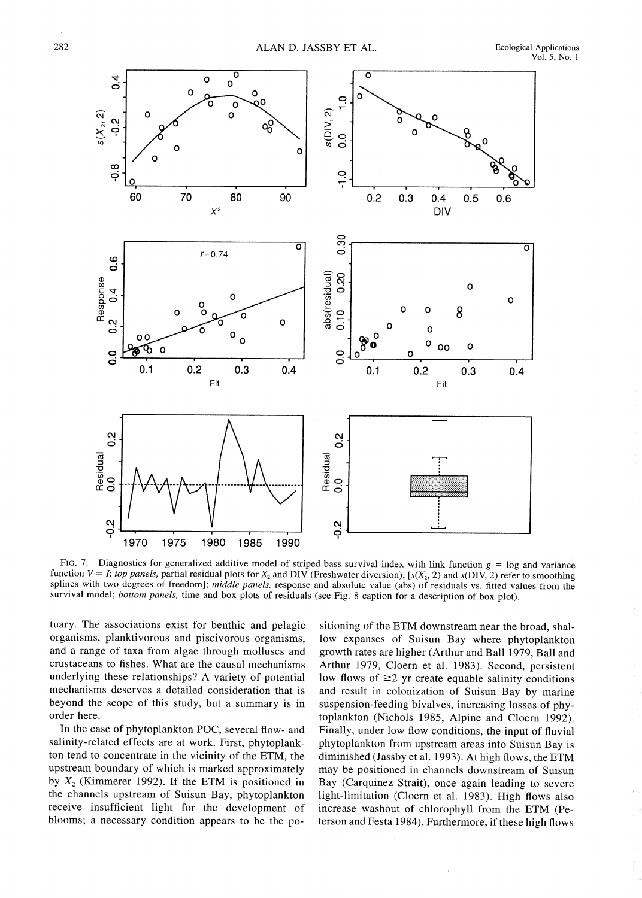

FIG. 7. Diagnostics for generalized additive model of striped bass survival index with link function  $g = \log$  and variance function  $V = I$ : top panels, partial residual plots for  $X_2$  and DIV (Freshwater diversion), [s( $X_2$ , 2) and s(DIV, 2) refer to smoothing splines with two degrees of freedom]; middle panels, response and absolute value (abs) of residuals vs. fitted values from the survival model; bottom panels, time and box plots of residuals (see Fig. 8 caption for a description of box plot).

tuary. The associations exist for benthic and pelagic organisms, planktivorous and piscivorous organisms, and a range of taxa from algae through molluscs and crustaceans to fishes. What are the causal mechanisms underlying these relationships? A variety of potential mechanisms deserves a detailed consideration that is beyond the scope of this study, but a summary is in order here.

In the case of phytoplankton POC, several flow- and salinity-related effects are at work. First, phytoplankton tend to concentrate in the vicinity of the ETM, the upstream boundary of which is marked approximately by  $X_2$  (Kimmerer 1992). If the ETM is positioned in the channels upstream of Suisun Bay, phytoplankton receive insufficient light for the development of blooms; a necessary condition appears to be the po-

sitioning of the ETM downstream near the broad, shallow expanses of Suisun Bay where phytoplankton growth rates are higher (Arthur and Ball 1979, Ball and Arthur 1979, Cloern et al. 1983). Second, persistent low flows of  $\geq$ 2 yr create equable salinity conditions and result in colonization of Suisun Bay by marine suspension-feeding bivalves, increasing losses of phytoplankton (Nichols 1985, Alpine and Cloern 1992). Finally, under low flow conditions, the input of fluvial phytoplankton from upstream areas into Suisun Bay is diminished (Jassby et al. 1993). At high flows, the ETM may be positioned in channels downstream of Suisun Bay (Carquinez Strait), once again leading to severe light-limitation (Cloern et al. 1983). High flows also increase washout of chlorophyll from the ETM (Peterson and Festa 1984). Furthermore, if these high flows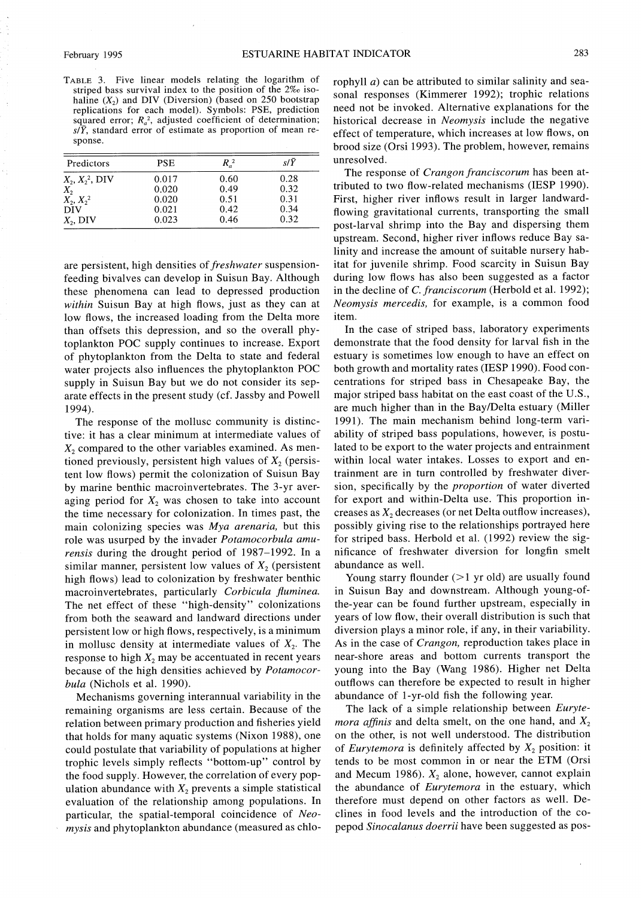TABLE 3. Five linear models relating the logarithm of striped bass survival index to the position of the 2% isohaline  $(X_2)$  and DIV (Diversion) (based on 250 bootstrap replications for each model). Symbols: PSE, prediction squared error;  $R_a^2$ , adjusted coefficient of determination;  $s/\bar{Y}$ , standard error of estimate as proportion of mean response.

| Predictors        | <b>PSE</b> | $R_{a}^{2}$ | s/Ÿ  |  |
|-------------------|------------|-------------|------|--|
| $X_2, X_2^2, DIV$ | 0.017      | 0.60        | 0.28 |  |
| $X_2$             | 0.020      | 0.49        | 0.32 |  |
| $X_2, X_2^2$      | 0.020      | 0.51        | 0.31 |  |
| <b>DIV</b>        | 0.021      | 0.42        | 0.34 |  |
| $X_2$ , DIV       | 0.023      | 0.46        | 0.32 |  |

are persistent, high densities of *freshwater* suspensionfeeding bivalves can develop in Suisun Bay. Although these phenomena can lead to depressed production within Suisun Bay at high flows, just as they can at low flows, the increased loading from the Delta more than offsets this depression, and so the overall phytoplankton POC supply continues to increase. Export of phytoplankton from the Delta to state and federal water projects also influences the phytoplankton POC supply in Suisun Bay but we do not consider its separate effects in the present study (cf. Jassby and Powell 1994).

The response of the mollusc community is distinctive: it has a clear minimum at intermediate values of  $X<sub>2</sub>$  compared to the other variables examined. As mentioned previously, persistent high values of  $X_2$  (persistent low flows) permit the colonization of Suisun Bay by marine benthic macroinvertebrates. The 3-yr averaging period for  $X_2$  was chosen to take into account the time necessary for colonization. In times past, the main colonizing species was  $Mya$  arenaria, but this role was usurped by the invader Potamocorbula amurensis during the drought period of 1987–1992. In a similar manner, persistent low values of  $X<sub>2</sub>$  (persistent high flows) lead to colonization by freshwater benthic macroinvertebrates, particularly Corbicula fluminea. The net effect of these "high-density" colonizations from both the seaward and landward directions under persistent low or high flows, respectively, is a minimum in mollusc density at intermediate values of  $X_2$ . The response to high  $X_2$  may be accentuated in recent years because of the high densities achieved by Potamocorbula (Nichols et al. 1990).

Mechanisms governing interannual variability in the remaining organisms are less certain. Because of the relation between primary production and fisheries yield that holds for many aquatic systems (Nixon 1988), one could postulate that variability of populations at higher trophic levels simply reflects "bottom-up" control by the food supply. However, the correlation of every population abundance with  $X_2$  prevents a simple statistical evaluation of the relationship among populations. In particular, the spatial-temporal coincidence of Neomysis and phytoplankton abundance (measured as chlorophyll  $a$ ) can be attributed to similar salinity and seasonal responses (Kimmerer 1992); trophic relations need not be invoked. Alternative explanations for the historical decrease in Neomysis include the negative effect of temperature, which increases at low flows, on brood size (Orsi 1993). The problem, however, remains unresolved.

The response of *Crangon franciscorum* has been attributed to two flow-related mechanisms (IESP 1990). First, higher river inflows result in larger landwardflowing gravitational currents, transporting the small post-larval shrimp into the Bay and dispersing them upstream. Second, higher river inflows reduce Bay salinity and increase the amount of suitable nursery habitat for juvenile shrimp. Food scarcity in Suisun Bay during low flows has also been suggested as a factor in the decline of C. franciscorum (Herbold et al. 1992); Neomysis mercedis, for example, is a common food item.

In the case of striped bass, laboratory experiments demonstrate that the food density for larval fish in the estuary is sometimes low enough to have an effect on both growth and mortality rates (IESP 1990). Food concentrations for striped bass in Chesapeake Bay, the major striped bass habitat on the east coast of the U.S., are much higher than in the Bay/Delta estuary (Miller 1991). The main mechanism behind long-term variability of striped bass populations, however, is postulated to be export to the water projects and entrainment within local water intakes. Losses to export and entrainment are in turn controlled by freshwater diversion, specifically by the *proportion* of water diverted for export and within-Delta use. This proportion increases as  $X_2$  decreases (or net Delta outflow increases), possibly giving rise to the relationships portrayed here for striped bass. Herbold et al. (1992) review the significance of freshwater diversion for longfin smelt abundance as well.

Young starry flounder  $(>1$  yr old) are usually found in Suisun Bay and downstream. Although young-ofthe-year can be found further upstream, especially in years of low flow, their overall distribution is such that diversion plays a minor role, if any, in their variability. As in the case of *Crangon*, reproduction takes place in near-shore areas and bottom currents transport the young into the Bay (Wang 1986). Higher net Delta outflows can therefore be expected to result in higher abundance of 1-yr-old fish the following year.

The lack of a simple relationship between Euryte*mora affinis* and delta smelt, on the one hand, and  $X_2$ on the other, is not well understood. The distribution of *Eurytemora* is definitely affected by  $X_2$  position: it tends to be most common in or near the ETM (Orsi and Mecum 1986).  $X_2$  alone, however, cannot explain the abundance of *Eurytemora* in the estuary, which therefore must depend on other factors as well. Declines in food levels and the introduction of the copepod Sinocalanus doerrii have been suggested as pos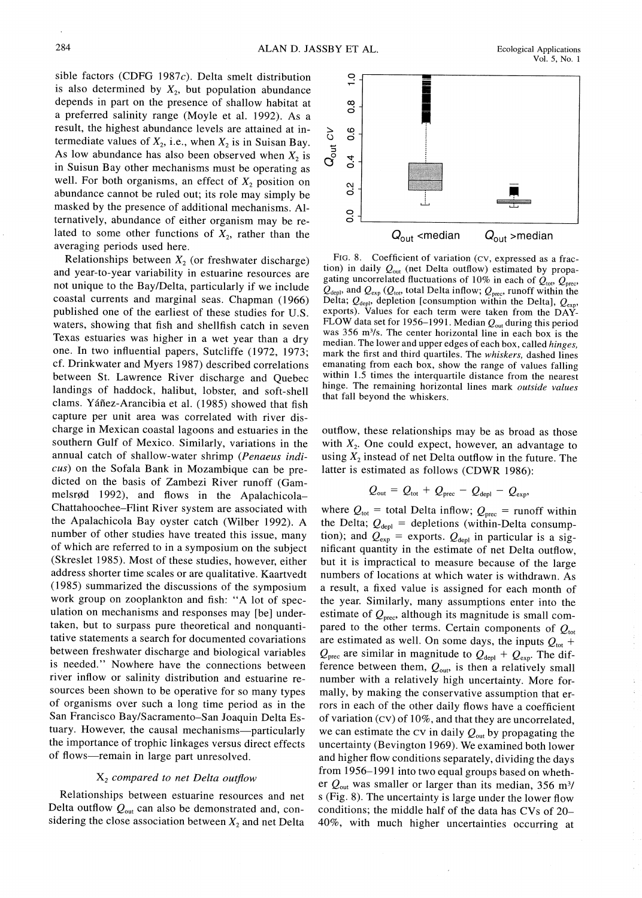sible factors (CDFG 1987c). Delta smelt distribution is also determined by  $X_2$ , but population abundance depends in part on the presence of shallow habitat at a preferred salinity range (Moyle et al. 1992). As a result, the highest abundance levels are attained at intermediate values of  $X_2$ , i.e., when  $X_2$  is in Suisan Bay. As low abundance has also been observed when  $X_2$  is in Suisun Bay other mechanisms must be operating as well. For both organisms, an effect of  $X_2$  position on abundance cannot be ruled out; its role may simply be masked by the presence of additional mechanisms. Alternatively, abundance of either organism may be related to some other functions of  $X_2$ , rather than the averaging periods used here.

Relationships between  $X_2$  (or freshwater discharge) and year-to-year variability in estuarine resources are not unique to the Bay/Delta, particularly if we include coastal currents and marginal seas. Chapman (1966) published one of the earliest of these studies for U.S. waters, showing that fish and shellfish catch in seven Texas estuaries was higher in a wet year than a dry one. In two influential papers, Sutcliffe (1972, 1973; cf. Drinkwater and Myers 1987) described correlations between St. Lawrence River discharge and Quebec landings of haddock, halibut, lobster, and soft-shell clams. Yáñez-Arancibia et al. (1985) showed that fish capture per unit area was correlated with river discharge in Mexican coastal lagoons and estuaries in the southern Gulf of Mexico. Similarly, variations in the annual catch of shallow-water shrimp (Penaeus indicus) on the Sofala Bank in Mozambique can be predicted on the basis of Zambezi River runoff (Gammelsrød 1992), and flows in the Apalachicola-Chattahoochee–Flint River system are associated with the Apalachicola Bay oyster catch (Wilber 1992). A number of other studies have treated this issue, many of which are referred to in a symposium on the subject (Skreslet 1985). Most of these studies, however, either address shorter time scales or are qualitative. Kaartvedt (1985) summarized the discussions of the symposium work group on zooplankton and fish: "A lot of speculation on mechanisms and responses may [be] undertaken, but to surpass pure theoretical and nonquantitative statements a search for documented covariations between freshwater discharge and biological variables is needed." Nowhere have the connections between river inflow or salinity distribution and estuarine resources been shown to be operative for so many types of organisms over such a long time period as in the San Francisco Bay/Sacramento-San Joaquin Delta Estuary. However, the causal mechanisms-particularly the importance of trophic linkages versus direct effects of flows-remain in large part unresolved.

#### $X<sub>2</sub>$  compared to net Delta outflow

Relationships between estuarine resources and net Delta outflow  $Q_{\text{out}}$  can also be demonstrated and, considering the close association between  $X_2$  and net Delta



FIG. 8. Coefficient of variation (CV, expressed as a fraction) in daily  $Q_{out}$  (net Delta outflow) estimated by propagating uncorrelated fluctuations of 10% in each of  $Q_{\text{tot}}$ ,  $Q_{\text{prec}}$ ,  $Q_{\text{deph}}$  and  $Q_{\text{exp}}(Q_{\text{tot}})$  total Delta inflow;  $Q_{\text{prec}}$  runoff within the Delta;  $Q_{\text{deph}}$ , depletion [consumption within the Delta],  $Q_{\text{exp}}$ , exports). Values for each term were taken from the DAY-FLOW data set for 1956–1991. Median  $Q_{\text{out}}$  during this period was 356 m<sup>3</sup>/s. The center horizontal line in each box is the median. The lower and upper edges of each box, called *hinges*. mark the first and third quartiles. The whiskers, dashed lines emanating from each box, show the range of values falling within 1.5 times the interquartile distance from the nearest hinge. The remaining horizontal lines mark outside values that fall beyond the whiskers.

outflow, these relationships may be as broad as those with  $X_2$ . One could expect, however, an advantage to using  $X_2$  instead of net Delta outflow in the future. The latter is estimated as follows (CDWR 1986):

$$
Q_{\text{out}} = Q_{\text{tot}} + Q_{\text{prec}} - Q_{\text{depl}} - Q_{\text{exp}}
$$

where  $Q_{\text{tot}}$  = total Delta inflow;  $Q_{\text{prec}}$  = runoff within the Delta;  $Q_{\text{depl}} =$  depletions (within-Delta consumption); and  $Q_{exp}$  = exports.  $Q_{depl}$  in particular is a significant quantity in the estimate of net Delta outflow, but it is impractical to measure because of the large numbers of locations at which water is withdrawn. As a result, a fixed value is assigned for each month of the year. Similarly, many assumptions enter into the estimate of  $Q_{\text{prec}}$ , although its magnitude is small compared to the other terms. Certain components of  $Q_{\text{tot}}$ are estimated as well. On some days, the inputs  $Q_{\text{tot}}$  +  $Q_{\text{prec}}$  are similar in magnitude to  $Q_{\text{depl}} + Q_{\text{exp}}$ . The difference between them,  $Q_{\text{out}}$ , is then a relatively small number with a relatively high uncertainty. More formally, by making the conservative assumption that errors in each of the other daily flows have a coefficient of variation  $(Cv)$  of 10%, and that they are uncorrelated, we can estimate the CV in daily  $Q_{\text{out}}$  by propagating the uncertainty (Bevington 1969). We examined both lower and higher flow conditions separately, dividing the days from 1956-1991 into two equal groups based on whether  $Q_{\text{out}}$  was smaller or larger than its median, 356 m<sup>3</sup>/ s (Fig. 8). The uncertainty is large under the lower flow conditions; the middle half of the data has CVs of 20-40%, with much higher uncertainties occurring at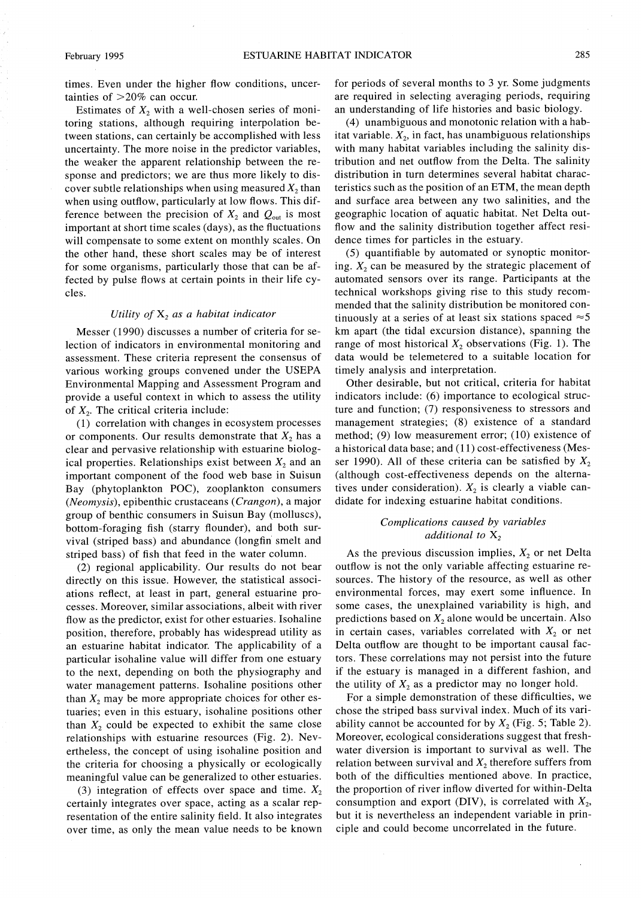times. Even under the higher flow conditions, uncertainties of  $>20\%$  can occur.

Estimates of  $X_2$  with a well-chosen series of monitoring stations, although requiring interpolation between stations, can certainly be accomplished with less uncertainty. The more noise in the predictor variables, the weaker the apparent relationship between the response and predictors; we are thus more likely to discover subtle relationships when using measured  $X_2$  than when using outflow, particularly at low flows. This difference between the precision of  $X_2$  and  $Q_{\text{out}}$  is most important at short time scales (days), as the fluctuations will compensate to some extent on monthly scales. On the other hand, these short scales may be of interest for some organisms, particularly those that can be affected by pulse flows at certain points in their life cycles.

## Utility of  $X_2$  as a habitat indicator

Messer (1990) discusses a number of criteria for selection of indicators in environmental monitoring and assessment. These criteria represent the consensus of various working groups convened under the USEPA Environmental Mapping and Assessment Program and provide a useful context in which to assess the utility of  $X_2$ . The critical criteria include:

(1) correlation with changes in ecosystem processes or components. Our results demonstrate that  $X_2$  has a clear and pervasive relationship with estuarine biological properties. Relationships exist between  $X_2$  and an important component of the food web base in Suisun Bay (phytoplankton POC), zooplankton consumers (Neomysis), epibenthic crustaceans (Crangon), a major group of benthic consumers in Suisun Bay (molluscs), bottom-foraging fish (starry flounder), and both survival (striped bass) and abundance (longfin smelt and striped bass) of fish that feed in the water column.

(2) regional applicability. Our results do not bear directly on this issue. However, the statistical associations reflect, at least in part, general estuarine processes. Moreover, similar associations, albeit with river flow as the predictor, exist for other estuaries. Isohaline position, therefore, probably has widespread utility as an estuarine habitat indicator. The applicability of a particular isohaline value will differ from one estuary to the next, depending on both the physiography and water management patterns. Isohaline positions other than  $X_2$  may be more appropriate choices for other estuaries; even in this estuary, isohaline positions other than  $X_2$  could be expected to exhibit the same close relationships with estuarine resources (Fig. 2). Nevertheless, the concept of using isohaline position and the criteria for choosing a physically or ecologically meaningful value can be generalized to other estuaries.

(3) integration of effects over space and time.  $X_2$ certainly integrates over space, acting as a scalar representation of the entire salinity field. It also integrates over time, as only the mean value needs to be known

for periods of several months to 3 yr. Some judgments are required in selecting averaging periods, requiring an understanding of life histories and basic biology.

(4) unambiguous and monotonic relation with a habitat variable.  $X_2$ , in fact, has unambiguous relationships with many habitat variables including the salinity distribution and net outflow from the Delta. The salinity distribution in turn determines several habitat characteristics such as the position of an ETM, the mean depth and surface area between any two salinities, and the geographic location of aquatic habitat. Net Delta outflow and the salinity distribution together affect residence times for particles in the estuary.

(5) quantifiable by automated or synoptic monitoring.  $X_2$  can be measured by the strategic placement of automated sensors over its range. Participants at the technical workshops giving rise to this study recommended that the salinity distribution be monitored continuously at a series of at least six stations spaced  $\approx$  5 km apart (the tidal excursion distance), spanning the range of most historical  $X_2$  observations (Fig. 1). The data would be telemetered to a suitable location for timely analysis and interpretation.

Other desirable, but not critical, criteria for habitat indicators include: (6) importance to ecological structure and function; (7) responsiveness to stressors and management strategies; (8) existence of a standard method; (9) low measurement error; (10) existence of a historical data base; and (11) cost-effectiveness (Messer 1990). All of these criteria can be satisfied by  $X_2$ (although cost-effectiveness depends on the alternatives under consideration).  $X_2$  is clearly a viable candidate for indexing estuarine habitat conditions.

## Complications caused by variables additional to  $X_2$

As the previous discussion implies,  $X_2$  or net Delta outflow is not the only variable affecting estuarine resources. The history of the resource, as well as other environmental forces, may exert some influence. In some cases, the unexplained variability is high, and predictions based on  $X_2$  alone would be uncertain. Also in certain cases, variables correlated with  $X_2$  or net Delta outflow are thought to be important causal factors. These correlations may not persist into the future if the estuary is managed in a different fashion, and the utility of  $X_2$  as a predictor may no longer hold.

For a simple demonstration of these difficulties, we chose the striped bass survival index. Much of its variability cannot be accounted for by  $X_2$  (Fig. 5; Table 2). Moreover, ecological considerations suggest that freshwater diversion is important to survival as well. The relation between survival and  $X_2$ , therefore suffers from both of the difficulties mentioned above. In practice, the proportion of river inflow diverted for within-Delta consumption and export (DIV), is correlated with  $X_2$ , but it is nevertheless an independent variable in principle and could become uncorrelated in the future.

February 1995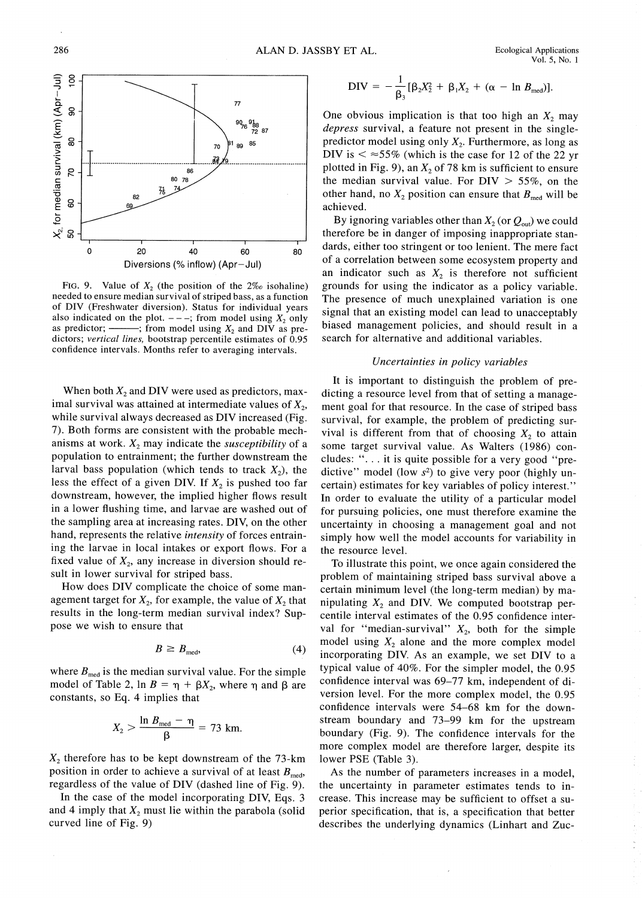**Ecological Applications**  $Vol. 5, No. 1$ 



FIG. 9. Value of  $X_2$  (the position of the  $2\%$  isohaline) needed to ensure median survival of striped bass, as a function of DIV (Freshwater diversion). Status for individual years also indicated on the plot.  $---$ ; from model using  $X_2$  only as predictor; --; from model using  $X_2$  and DIV as predictors; vertical lines, bootstrap percentile estimates of 0.95 confidence intervals. Months refer to averaging intervals.

When both  $X_2$  and DIV were used as predictors, maximal survival was attained at intermediate values of  $X_2$ , while survival always decreased as DIV increased (Fig. 7). Both forms are consistent with the probable mechanisms at work.  $X_2$  may indicate the *susceptibility* of a population to entrainment; the further downstream the larval bass population (which tends to track  $X_2$ ), the less the effect of a given DIV. If  $X_2$  is pushed too far downstream, however, the implied higher flows result in a lower flushing time, and larvae are washed out of the sampling area at increasing rates. DIV, on the other hand, represents the relative *intensity* of forces entraining the larvae in local intakes or export flows. For a fixed value of  $X_2$ , any increase in diversion should result in lower survival for striped bass.

How does DIV complicate the choice of some management target for  $X_2$ , for example, the value of  $X_2$  that results in the long-term median survival index? Suppose we wish to ensure that

$$
B \ge B_{\text{med}},\tag{4}
$$

where  $B_{\text{med}}$  is the median survival value. For the simple model of Table 2, ln  $B = \eta + \beta X_2$ , where  $\eta$  and  $\beta$  are constants, so Eq. 4 implies that

$$
X_2 > \frac{\ln B_{\text{med}} - \eta}{\beta} = 73 \text{ km}.
$$

 $X_2$  therefore has to be kept downstream of the 73-km position in order to achieve a survival of at least  $B_{\text{med}}$ , regardless of the value of DIV (dashed line of Fig. 9).

In the case of the model incorporating DIV, Eqs. 3 and 4 imply that  $X_2$  must lie within the parabola (solid curved line of Fig. 9)

$$
DIV = -\frac{1}{\beta_3} [\beta_2 X_2^2 + \beta_1 X_2 + (\alpha - \ln B_{\text{med}})].
$$

One obvious implication is that too high an  $X_2$  may depress survival, a feature not present in the singlepredictor model using only  $X_2$ . Furthermore, as long as DIV is  $\leq$   $\approx$  55% (which is the case for 12 of the 22 yr plotted in Fig. 9), an  $X_2$  of 78 km is sufficient to ensure the median survival value. For  $DIV > 55\%$ , on the other hand, no  $X_2$  position can ensure that  $B_{\text{med}}$  will be achieved.

By ignoring variables other than  $X_2$  (or  $Q_{\text{out}}$ ) we could therefore be in danger of imposing inappropriate standards, either too stringent or too lenient. The mere fact of a correlation between some ecosystem property and an indicator such as  $X_2$  is therefore not sufficient grounds for using the indicator as a policy variable. The presence of much unexplained variation is one signal that an existing model can lead to unacceptably biased management policies, and should result in a search for alternative and additional variables.

## Uncertainties in policy variables

It is important to distinguish the problem of predicting a resource level from that of setting a management goal for that resource. In the case of striped bass survival, for example, the problem of predicting survival is different from that of choosing  $X_2$  to attain some target survival value. As Walters (1986) concludes: "... it is quite possible for a very good "predictive" model (low  $s^2$ ) to give very poor (highly uncertain) estimates for key variables of policy interest." In order to evaluate the utility of a particular model for pursuing policies, one must therefore examine the uncertainty in choosing a management goal and not simply how well the model accounts for variability in the resource level.

To illustrate this point, we once again considered the problem of maintaining striped bass survival above a certain minimum level (the long-term median) by manipulating  $X_2$  and DIV. We computed bootstrap percentile interval estimates of the 0.95 confidence interval for "median-survival"  $X_2$ , both for the simple model using  $X_2$  alone and the more complex model incorporating DIV. As an example, we set DIV to a typical value of 40%. For the simpler model, the 0.95 confidence interval was 69-77 km, independent of diversion level. For the more complex model, the 0.95 confidence intervals were 54-68 km for the downstream boundary and 73-99 km for the upstream boundary (Fig. 9). The confidence intervals for the more complex model are therefore larger, despite its lower PSE (Table 3).

As the number of parameters increases in a model, the uncertainty in parameter estimates tends to increase. This increase may be sufficient to offset a superior specification, that is, a specification that better describes the underlying dynamics (Linhart and Zuc-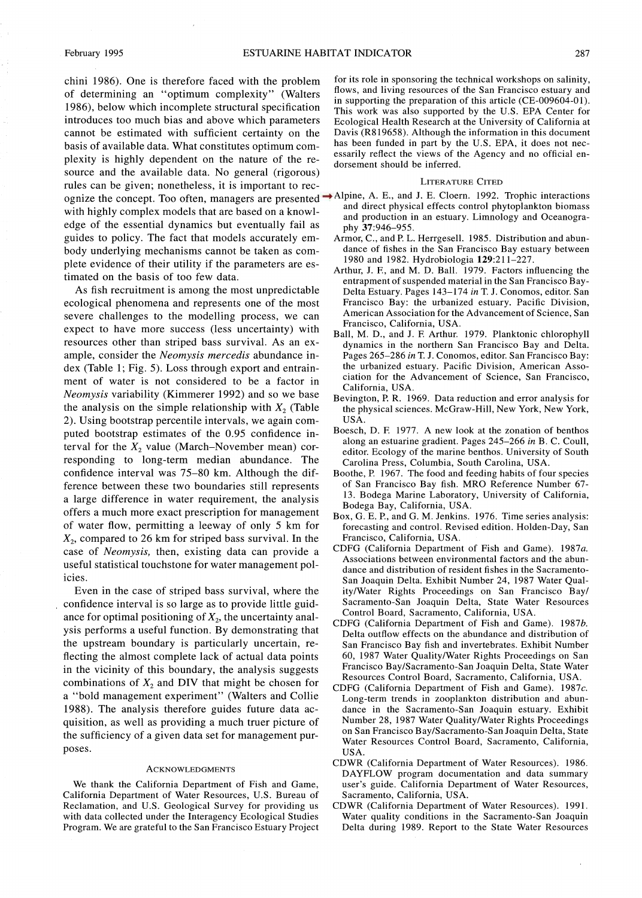chini 1986). One is therefore faced with the problem of determining an "optimum complexity" (Walters 1986), below which incomplete structural specification introduces too much bias and above which parameters cannot be estimated with sufficient certainty on the basis of available data. What constitutes optimum complexity is highly dependent on the nature of the resource and the available data. No general (rigorous) rules can be given; nonetheless, it is important to recognize the concept. Too often, managers are presented → Alpine, A. E., and J. E. Cloern. 1992. Trophic interactions with highly complex models that are based on a knowledge of the essential dynamics but eventually fail as guides to policy. The fact that models accurately embody underlying mechanisms cannot be taken as complete evidence of their utility if the parameters are estimated on the basis of too few data.

As fish recruitment is among the most unpredictable ecological phenomena and represents one of the most severe challenges to the modelling process, we can expect to have more success (less uncertainty) with resources other than striped bass survival. As an example, consider the Neomysis mercedis abundance index (Table 1; Fig. 5). Loss through export and entrainment of water is not considered to be a factor in *Neomysis* variability (Kimmerer 1992) and so we base the analysis on the simple relationship with  $X_2$  (Table 2). Using bootstrap percentile intervals, we again computed bootstrap estimates of the 0.95 confidence interval for the  $X_2$  value (March–November mean) corresponding to long-term median abundance. The confidence interval was 75–80 km. Although the difference between these two boundaries still represents a large difference in water requirement, the analysis offers a much more exact prescription for management of water flow, permitting a leeway of only 5 km for  $X_2$ , compared to 26 km for striped bass survival. In the case of Neomysis, then, existing data can provide a useful statistical touchstone for water management policies.

Even in the case of striped bass survival, where the confidence interval is so large as to provide little guidance for optimal positioning of  $X_2$ , the uncertainty analysis performs a useful function. By demonstrating that the upstream boundary is particularly uncertain, reflecting the almost complete lack of actual data points in the vicinity of this boundary, the analysis suggests combinations of  $X_2$  and DIV that might be chosen for a "bold management experiment" (Walters and Collie 1988). The analysis therefore guides future data acquisition, as well as providing a much truer picture of the sufficiency of a given data set for management purposes.

#### **ACKNOWLEDGMENTS**

We thank the California Department of Fish and Game, California Department of Water Resources, U.S. Bureau of Reclamation, and U.S. Geological Survey for providing us with data collected under the Interagency Ecological Studies Program. We are grateful to the San Francisco Estuary Project for its role in sponsoring the technical workshops on salinity, flows, and living resources of the San Francisco estuary and in supporting the preparation of this article (CE-009604-01). This work was also supported by the U.S. EPA Center for Ecological Health Research at the University of California at Davis (R819658). Although the information in this document has been funded in part by the U.S. EPA, it does not necessarily reflect the views of the Agency and no official endorsement should be inferred.

### LITERATURE CITED

- and direct physical effects control phytoplankton biomass and production in an estuary. Limnology and Oceanography 37:946-955.
- Armor, C., and P. L. Herrgesell. 1985. Distribution and abundance of fishes in the San Francisco Bay estuary between 1980 and 1982. Hydrobiologia 129:211-227.
- Arthur, J. F., and M. D. Ball. 1979. Factors influencing the entrapment of suspended material in the San Francisco Bay-Delta Estuary. Pages 143-174 in T. J. Conomos, editor. San Francisco Bay: the urbanized estuary. Pacific Division, American Association for the Advancement of Science, San Francisco, California, USA.
- Ball, M. D., and J. F. Arthur. 1979. Planktonic chlorophyll dynamics in the northern San Francisco Bay and Delta. Pages 265-286 in T. J. Conomos, editor. San Francisco Bay: the urbanized estuary. Pacific Division, American Association for the Advancement of Science, San Francisco, California, USA
- Bevington, P. R. 1969. Data reduction and error analysis for the physical sciences. McGraw-Hill, New York, New York, USA.
- Boesch, D. F. 1977. A new look at the zonation of benthos along an estuarine gradient. Pages 245-266 in B. C. Coull, editor. Ecology of the marine benthos. University of South Carolina Press, Columbia, South Carolina, USA.
- Boothe, P. 1967. The food and feeding habits of four species of San Francisco Bay fish. MRO Reference Number 67-13. Bodega Marine Laboratory, University of California, Bodega Bay, California, USA.
- Box, G. E. P., and G. M. Jenkins. 1976. Time series analysis: forecasting and control. Revised edition. Holden-Day, San Francisco, California, USA.
- CDFG (California Department of Fish and Game), 1987a. Associations between environmental factors and the abundance and distribution of resident fishes in the Sacramento-San Joaquin Delta. Exhibit Number 24, 1987 Water Quality/Water Rights Proceedings on San Francisco Bay/ Sacramento-San Joaquin Delta, State Water Resources Control Board, Sacramento, California, USA.
- CDFG (California Department of Fish and Game). 1987b. Delta outflow effects on the abundance and distribution of San Francisco Bay fish and invertebrates. Exhibit Number 60, 1987 Water Ouality/Water Rights Proceedings on San Francisco Bay/Sacramento-San Joaquin Delta, State Water Resources Control Board, Sacramento, California, USA.
- CDFG (California Department of Fish and Game). 1987c. Long-term trends in zooplankton distribution and abundance in the Sacramento-San Joaquin estuary. Exhibit Number 28, 1987 Water Quality/Water Rights Proceedings on San Francisco Bay/Sacramento-San Joaquin Delta, State Water Resources Control Board, Sacramento, California, USA.
- CDWR (California Department of Water Resources). 1986. DAYFLOW program documentation and data summary user's guide. California Department of Water Resources, Sacramento, California, USA.
- CDWR (California Department of Water Resources). 1991. Water quality conditions in the Sacramento-San Joaquin Delta during 1989. Report to the State Water Resources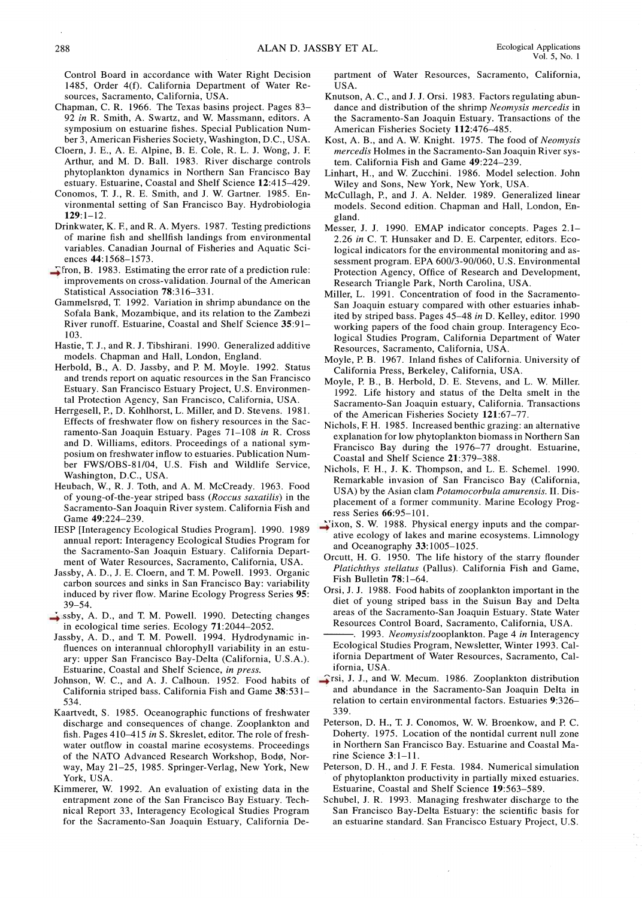- Chapman, C. R. 1966. The Texas basins project. Pages 83-92 in R. Smith, A. Swartz, and W. Massmann, editors. A symposium on estuarine fishes. Special Publication Number 3, American Fisheries Society, Washington, D.C., USA.
- Cloern, J. E., A. E. Alpine, B. E. Cole, R. L. J. Wong, J. F. Arthur, and M. D. Ball. 1983. River discharge controls phytoplankton dynamics in Northern San Francisco Bay estuary. Estuarine, Coastal and Shelf Science 12:415-429.
- Conomos, T. J., R. E. Smith, and J. W. Gartner. 1985. Environmental setting of San Francisco Bay. Hydrobiologia  $129:1-12.$
- Drinkwater, K. F., and R. A. Myers. 1987. Testing predictions of marine fish and shellfish landings from environmental variables. Canadian Journal of Fisheries and Aquatic Sciences 44:1568-1573.
- Tfron, B. 1983. Estimating the error rate of a prediction rule: improvements on cross-validation. Journal of the American Statistical Association 78:316-331.
- Gammelsrød, T. 1992. Variation in shrimp abundance on the Sofala Bank, Mozambique, and its relation to the Zambezi River runoff. Estuarine, Coastal and Shelf Science 35:91-103
- Hastie, T. J., and R. J. Tibshirani. 1990. Generalized additive models. Chapman and Hall, London, England.
- Herbold, B., A. D. Jassby, and P. M. Moyle. 1992. Status and trends report on aquatic resources in the San Francisco Estuary. San Francisco Estuary Project, U.S. Environmental Protection Agency, San Francisco, California, USA
- Herrgesell, P., D. Kohlhorst, L. Miller, and D. Stevens. 1981. Effects of freshwater flow on fishery resources in the Sacramento-San Joaquin Estuary. Pages 71-108 in R. Cross and D. Williams, editors. Proceedings of a national symposium on freshwater inflow to estuaries. Publication Number FWS/OBS-81/04, U.S. Fish and Wildlife Service, Washington, D.C., USA.
- Heubach, W., R. J. Toth, and A. M. McCready. 1963. Food of young-of-the-year striped bass (Roccus saxatilis) in the Sacramento-San Joaquin River system. California Fish and Game 49:224-239.
- IESP [Interagency Ecological Studies Program]. 1990. 1989 annual report: Interagency Ecological Studies Program for the Sacramento-San Joaquin Estuary. California Department of Water Resources, Sacramento, California, USA.
- Jassby, A. D., J. E. Cloern, and T. M. Powell. 1993. Organic carbon sources and sinks in San Francisco Bay: variability induced by river flow. Marine Ecology Progress Series 95:  $39 - 54$ .
- ssby, A. D., and T. M. Powell. 1990. Detecting changes in ecological time series. Ecology 71:2044-2052.
- Jassby, A. D., and T. M. Powell. 1994. Hydrodynamic influences on interannual chlorophyll variability in an estuary: upper San Francisco Bay-Delta (California, U.S.A.). Estuarine, Coastal and Shelf Science, in press.
- Johnson, W. C., and A. J. Calhoun. 1952. Food habits of California striped bass. California Fish and Game 38:531-534.
- Kaartvedt, S. 1985. Oceanographic functions of freshwater discharge and consequences of change. Zooplankton and fish. Pages 410-415 in S. Skreslet, editor. The role of freshwater outflow in coastal marine ecosystems. Proceedings of the NATO Advanced Research Workshop, Bodø, Norway, May 21-25, 1985. Springer-Verlag, New York, New York, USA.
- Kimmerer, W. 1992. An evaluation of existing data in the entrapment zone of the San Francisco Bay Estuary. Technical Report 33, Interagency Ecological Studies Program for the Sacramento-San Joaquin Estuary, California De-

partment of Water Resources, Sacramento, California, USA.

- Knutson, A. C., and J. J. Orsi. 1983. Factors regulating abundance and distribution of the shrimp Neomysis mercedis in the Sacramento-San Joaquin Estuary. Transactions of the American Fisheries Society 112:476-485.
- Kost, A. B., and A. W. Knight. 1975. The food of Neomysis mercedis Holmes in the Sacramento-San Joaquin River system. California Fish and Game 49:224-239.
- Linhart, H., and W. Zucchini. 1986. Model selection. John Wiley and Sons, New York, New York, USA.
- McCullagh, P., and J. A. Nelder. 1989. Generalized linear models. Second edition. Chapman and Hall, London, England.
- Messer, J. J. 1990. EMAP indicator concepts. Pages 2.1-2.26 in C. T. Hunsaker and D. E. Carpenter, editors. Ecological indicators for the environmental monitoring and assessment program. EPA 600/3-90/060, U.S. Environmental Protection Agency, Office of Research and Development, Research Triangle Park, North Carolina, USA.
- Miller, L. 1991. Concentration of food in the Sacramento-San Joaquin estuary compared with other estuaries inhabited by striped bass. Pages 45-48 in D. Kelley, editor. 1990 working papers of the food chain group. Interagency Ecological Studies Program, California Department of Water Resources, Sacramento, California, USA.
- Moyle, P. B. 1967. Inland fishes of California. University of California Press, Berkeley, California, USA.
- Moyle, P. B., B. Herbold, D. E. Stevens, and L. W. Miller. 1992. Life history and status of the Delta smelt in the Sacramento-San Joaquin estuary, California. Transactions of the American Fisheries Society 121:67-77.
- Nichols, F. H. 1985. Increased benthic grazing: an alternative explanation for low phytoplankton biomass in Northern San Francisco Bay during the 1976-77 drought. Estuarine, Coastal and Shelf Science 21:379-388.
- Nichols, F. H., J. K. Thompson, and L. E. Schemel. 1990. Remarkable invasion of San Francisco Bay (California, USA) by the Asian clam Potamocorbula amurensis. II. Displacement of a former community. Marine Ecology Progress Series 66:95-101.
- $\rightarrow$  ixon, S. W. 1988. Physical energy inputs and the comparative ecology of lakes and marine ecosystems. Limnology and Oceanography 33:1005-1025.
- Orcutt, H. G. 1950. The life history of the starry flounder Platichthys stellatus (Pallus). California Fish and Game, Fish Bulletin 78:1-64.
- Orsi, J. J. 1988. Food habits of zooplankton important in the diet of young striped bass in the Suisun Bay and Delta areas of the Sacramento-San Joaquin Estuary. State Water Resources Control Board, Sacramento, California, USA.
- -. 1993. Neomysis/zooplankton. Page 4 in Interagency Ecological Studies Program, Newsletter, Winter 1993. California Department of Water Resources, Sacramento, California, USA.
- **Sancta** Frsi, J. J., and W. Mecum. 1986. Zooplankton distribution and abundance in the Sacramento-San Joaquin Delta in relation to certain environmental factors. Estuaries 9:326-339.
- Peterson, D. H., T. J. Conomos, W. W. Broenkow, and P. C. Doherty. 1975. Location of the nontidal current null zone in Northern San Francisco Bay. Estuarine and Coastal Marine Science  $3:1-11$ .
- Peterson, D. H., and J. F. Festa. 1984. Numerical simulation of phytoplankton productivity in partially mixed estuaries. Estuarine, Coastal and Shelf Science 19:563-589.
- Schubel, J. R. 1993. Managing freshwater discharge to the San Francisco Bay-Delta Estuary: the scientific basis for an estuarine standard. San Francisco Estuary Project, U.S.